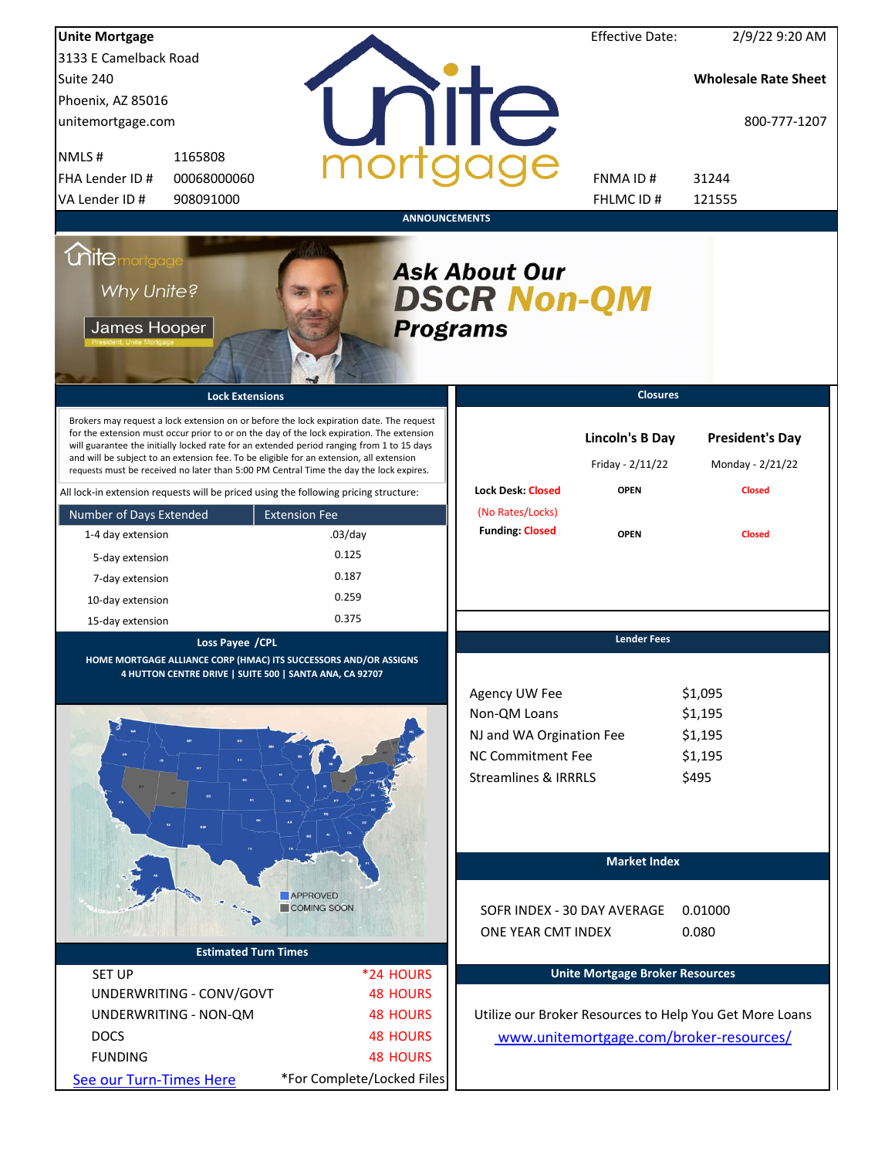| <b>Unite Mortgage</b>                                                                                                                                                                                                                                                                                                                                                                                                                                                  |                                       |                                                           | <b>Effective Date:</b>                     | 2/9/22 9:20 AM                                          |
|------------------------------------------------------------------------------------------------------------------------------------------------------------------------------------------------------------------------------------------------------------------------------------------------------------------------------------------------------------------------------------------------------------------------------------------------------------------------|---------------------------------------|-----------------------------------------------------------|--------------------------------------------|---------------------------------------------------------|
| 3133 E Camelback Road                                                                                                                                                                                                                                                                                                                                                                                                                                                  |                                       |                                                           |                                            |                                                         |
| Suite 240                                                                                                                                                                                                                                                                                                                                                                                                                                                              |                                       |                                                           |                                            | <b>Wholesale Rate Sheet</b>                             |
| Phoenix, AZ 85016                                                                                                                                                                                                                                                                                                                                                                                                                                                      |                                       |                                                           |                                            |                                                         |
| unitemortgage.com                                                                                                                                                                                                                                                                                                                                                                                                                                                      |                                       | <b>TITE</b>                                               |                                            | 800-777-1207                                            |
| NMLS#<br>1165808                                                                                                                                                                                                                                                                                                                                                                                                                                                       |                                       |                                                           |                                            |                                                         |
| FHA Lender ID #<br>00068000060                                                                                                                                                                                                                                                                                                                                                                                                                                         |                                       |                                                           | FNMA ID#                                   | 31244                                                   |
| VA Lender ID #<br>908091000                                                                                                                                                                                                                                                                                                                                                                                                                                            |                                       |                                                           | FHLMC ID#                                  | 121555                                                  |
|                                                                                                                                                                                                                                                                                                                                                                                                                                                                        | <b>ANNOUNCEMENTS</b>                  |                                                           |                                            |                                                         |
| <i><u><b>Chitemortgage</b></u></i><br>Why Unite?<br>James Hooper                                                                                                                                                                                                                                                                                                                                                                                                       | <b>Programs</b>                       | <b>Ask About Our</b><br><b>DSCR Non-QM</b>                |                                            |                                                         |
| <b>Lock Extensions</b>                                                                                                                                                                                                                                                                                                                                                                                                                                                 |                                       |                                                           | <b>Closures</b>                            |                                                         |
| Brokers may request a lock extension on or before the lock expiration date. The request<br>for the extension must occur prior to or on the day of the lock expiration. The extension<br>will guarantee the initially locked rate for an extended period ranging from 1 to 15 days<br>and will be subject to an extension fee. To be eligible for an extension, all extension<br>requests must be received no later than 5:00 PM Central Time the day the lock expires. |                                       |                                                           | <b>Lincoln's B Day</b><br>Friday - 2/11/22 | <b>President's Day</b><br>Monday - 2/21/22              |
| All lock-in extension requests will be priced using the following pricing structure:                                                                                                                                                                                                                                                                                                                                                                                   |                                       | <b>Lock Desk: Closed</b>                                  | <b>OPEN</b>                                | <b>Closed</b>                                           |
| Number of Days Extended                                                                                                                                                                                                                                                                                                                                                                                                                                                | <b>Extension Fee</b>                  | (No Rates/Locks)                                          |                                            |                                                         |
| 1-4 day extension                                                                                                                                                                                                                                                                                                                                                                                                                                                      | $.03$ /day                            | <b>Funding: Closed</b>                                    | <b>OPEN</b>                                | <b>Closed</b>                                           |
| 5-day extension                                                                                                                                                                                                                                                                                                                                                                                                                                                        | 0.125                                 |                                                           |                                            |                                                         |
| 7-day extension                                                                                                                                                                                                                                                                                                                                                                                                                                                        | 0.187                                 |                                                           |                                            |                                                         |
| 10-day extension                                                                                                                                                                                                                                                                                                                                                                                                                                                       | 0.259                                 |                                                           |                                            |                                                         |
| 15-day extension                                                                                                                                                                                                                                                                                                                                                                                                                                                       | 0.375                                 |                                                           |                                            |                                                         |
| Loss Payee / CPL<br>HOME MORTGAGE ALLIANCE CORP (HMAC) ITS SUCCESSORS AND/OR ASSIGNS<br>4 HUTTON CENTRE DRIVE   SUITE 500   SANTA ANA, CA 92707                                                                                                                                                                                                                                                                                                                        |                                       | Agency UW Fee<br>Non-QM Loans<br>NJ and WA Orgination Fee | <b>Lender Fees</b>                         | \$1,095<br>\$1,195<br>\$1,195                           |
|                                                                                                                                                                                                                                                                                                                                                                                                                                                                        |                                       | <b>NC Commitment Fee</b>                                  |                                            | \$1,195                                                 |
|                                                                                                                                                                                                                                                                                                                                                                                                                                                                        |                                       | <b>Streamlines &amp; IRRRLS</b>                           |                                            | \$495                                                   |
|                                                                                                                                                                                                                                                                                                                                                                                                                                                                        |                                       |                                                           | <b>Market Index</b>                        |                                                         |
|                                                                                                                                                                                                                                                                                                                                                                                                                                                                        | <b>APPROVED</b><br><b>COMING SOON</b> | SOFR INDEX - 30 DAY AVERAGE<br>ONE YEAR CMT INDEX         |                                            | 0.01000<br>0.080                                        |
| <b>Estimated Turn Times</b>                                                                                                                                                                                                                                                                                                                                                                                                                                            |                                       |                                                           |                                            |                                                         |
| <b>SET UP</b>                                                                                                                                                                                                                                                                                                                                                                                                                                                          | *24 HOURS                             |                                                           | <b>Unite Mortgage Broker Resources</b>     |                                                         |
| UNDERWRITING - CONV/GOVT                                                                                                                                                                                                                                                                                                                                                                                                                                               | <b>48 HOURS</b>                       |                                                           |                                            |                                                         |
| UNDERWRITING - NON-QM                                                                                                                                                                                                                                                                                                                                                                                                                                                  | <b>48 HOURS</b>                       |                                                           |                                            | Utilize our Broker Resources to Help You Get More Loans |
| <b>DOCS</b>                                                                                                                                                                                                                                                                                                                                                                                                                                                            | <b>48 HOURS</b>                       |                                                           |                                            | www.unitemortgage.com/broker-resources/                 |
| <b>FUNDING</b>                                                                                                                                                                                                                                                                                                                                                                                                                                                         | <b>48 HOURS</b>                       |                                                           |                                            |                                                         |
|                                                                                                                                                                                                                                                                                                                                                                                                                                                                        | *For Complete/Locked Files            |                                                           |                                            |                                                         |
| See our Turn-Times Here                                                                                                                                                                                                                                                                                                                                                                                                                                                |                                       |                                                           |                                            |                                                         |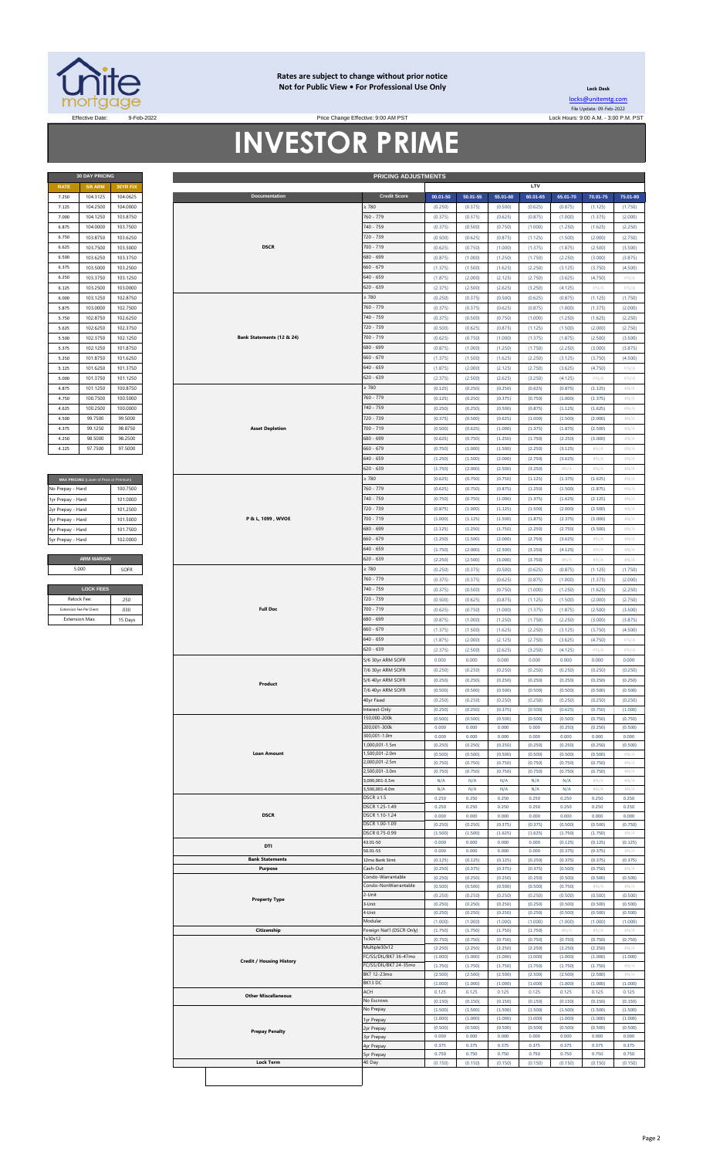

#### **Rates are subject to change without prior notice Not for Public View • For Professional Use Only**

**Lock Desk** [locks@unitemtg](mailto:locks@unitemtg.com).com File Update: 09-Feb-2022

Effective Date: 9-Feb-2022 Lock Hours: 9:00 A.M. - 3:00 P.M. PST Price Change Effective: 9:00 AM PST

# **INVESTOR PRIME**

|                           | <b>PRICING ADJUSTMENTS</b> |
|---------------------------|----------------------------|
|                           |                            |
| Documentation             | <b>Credit Score</b>        |
|                           | $\geq 780$                 |
|                           | 760 - 779                  |
|                           | 740 - 759                  |
|                           | 720 - 739                  |
| <b>DSCR</b>               | $700 - 719$                |
|                           | 680 - 699                  |
|                           | $660 - 679$                |
|                           | $640 - 659$                |
|                           | $620 - 639$                |
|                           | $\geq 780$                 |
|                           | 760 - 779                  |
|                           | 740 - 759                  |
|                           | 720 - 739                  |
| Bank Statements (12 & 24) | $700 - 719$                |
|                           | 680 - 699                  |
|                           | $660 - 679$                |
|                           | $640 - 659$                |
|                           | $620 - 639$                |
|                           | $\geq 780$                 |
|                           | $760 - 779$                |
|                           | 740 - 759                  |
|                           | 720 - 739                  |
| <b>Asset Depletion</b>    | $700 - 719$                |
|                           | 680 - 699                  |
|                           | $660 - 679$                |

| MAX PRICING (Lower of Price or Premium) |          |
|-----------------------------------------|----------|
| No Prepay - Hard                        | 100 7500 |
| 1yr Prepay - Hard                       | 101 0000 |
| 2yr Prepay - Hard                       | 101 2500 |
| 3yr Prepay - Hard                       | 101.5000 |
| 4yr Prepay - Hard                       | 101 7500 |
| 5yr Prepay - Hard                       | 102.0000 |
|                                         |          |
| <b>ARM MARGIN</b>                       |          |
| 5.000                                   | SOFR     |
|                                         |          |
| <b>LOCK FEES</b>                        |          |
| Relock Fee:                             | 250      |

| Relock Fee:             |         |
|-------------------------|---------|
| Extension Fee Per Diem: | 030     |
| <b>Extension Max:</b>   | 15 Days |
|                         |         |

| 7.250<br>7.125<br>7.000<br>6.875 | <b>5/6 ARM</b>                          | 30YR FIX |  |
|----------------------------------|-----------------------------------------|----------|--|
|                                  | 104.3125                                | 104.0625 |  |
|                                  | 104.2500                                | 104.0000 |  |
|                                  | 104.1250                                | 103.8750 |  |
|                                  | 104.0000                                | 103.7500 |  |
| 6.750                            | 103.8750                                | 103.6250 |  |
| 6.625                            | 103.7500                                | 103.5000 |  |
| 6.500                            | 103.6250                                | 103.3750 |  |
| 6.375                            | 103.5000                                | 103.2500 |  |
| 6.250                            | 103.3750                                | 103.1250 |  |
| 6.125                            | 103.2500                                | 103.0000 |  |
|                                  |                                         |          |  |
| 6.000                            | 103.1250                                | 102.8750 |  |
| 5.875                            | 103.0000                                | 102.7500 |  |
| 5.750                            | 102.8750                                | 102.6250 |  |
| 5.625                            | 102.6250                                | 102.3750 |  |
| 5.500                            | 102.3750                                | 102.1250 |  |
| 5.375                            | 102.1250                                | 101.8750 |  |
| 5.250                            | 101.8750                                | 101.6250 |  |
|                                  |                                         |          |  |
| 5.125                            | 101.6250                                | 101.3750 |  |
| 5.000                            | 101.3750                                | 101.1250 |  |
| 4.875                            | 101.1250                                | 100.8750 |  |
| 4.750                            | 100.7500                                | 100.5000 |  |
| 4.625                            | 100.2500                                | 100.0000 |  |
| 4.500                            | 99.7500                                 | 99.5000  |  |
| 4.375                            | 99.1250                                 | 98.8750  |  |
| 4.250                            | 98.5000                                 | 98.2500  |  |
|                                  |                                         |          |  |
| 4.125                            | 97.7500                                 | 97.5000  |  |
|                                  |                                         |          |  |
|                                  |                                         |          |  |
|                                  | MAX PRICING (Lower of Price or Premium) |          |  |
| No Prepay - Hard                 |                                         | 100.7500 |  |
| 1yr Prepay - Hard                |                                         | 101.0000 |  |
|                                  |                                         | 101.2500 |  |
| 2yr Prepay - Hard                |                                         |          |  |
| 3yr Prepay - Hard                |                                         | 101.5000 |  |
| 4yr Prepay - Hard                |                                         | 101.7500 |  |
| 5yr Prepay - Hard                |                                         | 102.0000 |  |
|                                  |                                         |          |  |
|                                  | <b>ARM MARGIN</b>                       |          |  |
|                                  | 5.000                                   | SOFR     |  |
|                                  |                                         |          |  |
|                                  | <b>LOCK FEES</b>                        |          |  |
|                                  |                                         |          |  |
|                                  | Relock Fee:                             | .250     |  |
|                                  | Extension Fee Per Diem:                 | .030     |  |
|                                  | Extension Max:                          | 15 Days  |  |
|                                  |                                         |          |  |
|                                  |                                         |          |  |
|                                  |                                         |          |  |
|                                  |                                         |          |  |
|                                  |                                         |          |  |
|                                  |                                         |          |  |
|                                  |                                         |          |  |
|                                  |                                         |          |  |
|                                  |                                         |          |  |
|                                  |                                         |          |  |
|                                  |                                         |          |  |
|                                  |                                         |          |  |
|                                  |                                         |          |  |
|                                  |                                         |          |  |
|                                  |                                         |          |  |
|                                  |                                         |          |  |
|                                  |                                         |          |  |
|                                  |                                         |          |  |
|                                  |                                         |          |  |
|                                  |                                         |          |  |
|                                  |                                         |          |  |
|                                  |                                         |          |  |
|                                  |                                         |          |  |
|                                  |                                         |          |  |
|                                  |                                         |          |  |
|                                  |                                         |          |  |
|                                  |                                         |          |  |
|                                  |                                         |          |  |
|                                  |                                         |          |  |
|                                  |                                         |          |  |
|                                  |                                         |          |  |
|                                  |                                         |          |  |
|                                  |                                         |          |  |
|                                  |                                         |          |  |
|                                  |                                         |          |  |
|                                  |                                         |          |  |
|                                  |                                         |          |  |
|                                  |                                         |          |  |
|                                  |                                         |          |  |
|                                  |                                         |          |  |
|                                  |                                         |          |  |
|                                  |                                         |          |  |
|                                  |                                         |          |  |
|                                  |                                         |          |  |
|                                  |                                         |          |  |
|                                  |                                         |          |  |
|                                  |                                         |          |  |
|                                  |                                         |          |  |
|                                  |                                         |          |  |
|                                  |                                         |          |  |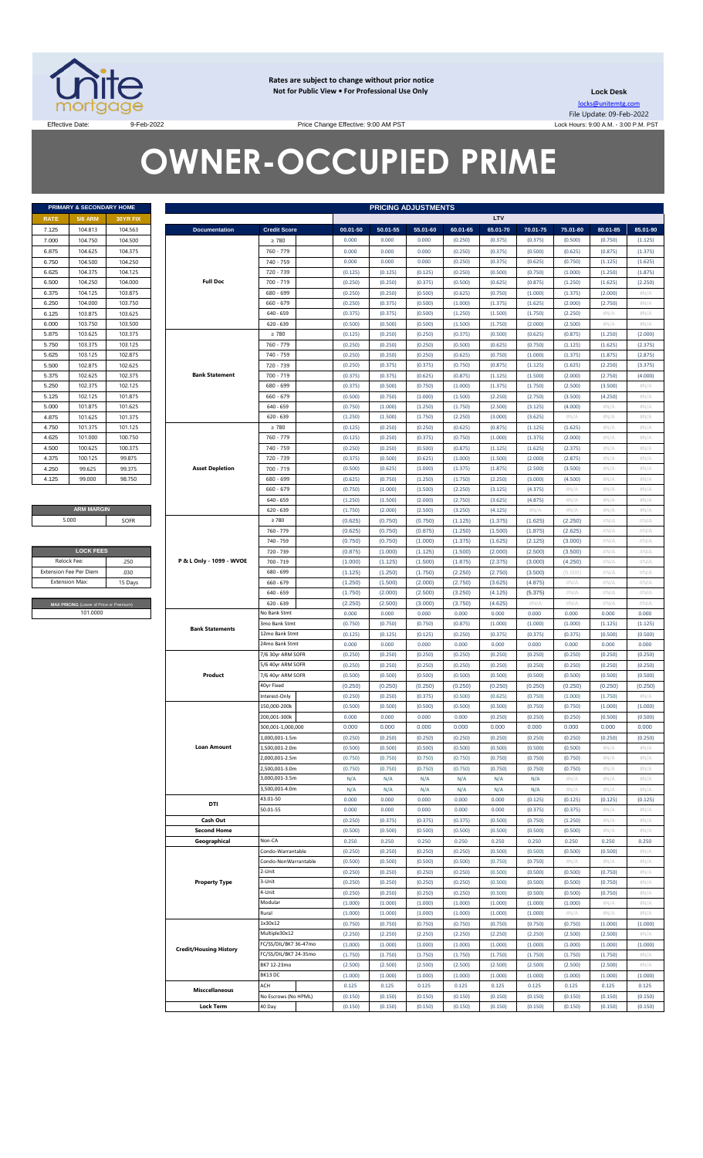

**Rates are subject to change without prior notice Not for Public View • For Professional Use Only** 

**Lock Desk** locks@unitemtg.com File Update: 09-Feb-2022 Lock Hours: 9:00 A.M. - 3:00 P.M. PST

Effective Date: 9:00 AM PST 9-Feb-2022 9-Feb-2022

# **OWNER-OCCUPIED PRIME**

|             | PRIMARY & SECONDARY HOME |                 |
|-------------|--------------------------|-----------------|
| <b>RATE</b> | <b>5/6 ARM</b>           | <b>30YR FIX</b> |
| 7.125       | 104.813                  | 104.563         |
| 7.000       | 104.750                  | 104.500         |
| 6.875       | 104.625                  | 104.375         |
| 6.750       | 104.500                  | 104.250         |
| 6.625       | 104.375                  | 104.125         |
| 6.500       | 104.250                  | 104.000         |
| 6.375       | 104.125                  | 103.875         |
| 6.250       | 104.000                  | 103.750         |
| 6.125       | 103.875                  | 103.625         |
| 6.000       | 103.750                  | 103.500         |
| 5.875       | 103.625                  | 103.375         |
| 5.750       | 103.375                  | 103.125         |
| 5.625       | 103.125                  | 102.875         |
| 5.500       | 102.875                  | 102.625         |
| 5.375       | 102.625                  | 102.375         |
| 5.250       | 102.375                  | 102.125         |
| 5.125       | 102.125                  | 101.875         |
| 5.000       | 101.875                  | 101.625         |
| 4.875       | 101.625                  | 101.375         |
| 4.750       | 101.375                  | 101.125         |
| 4.625       | 101.000                  | 100.750         |
| 4.500       | 100.625                  | 100.375         |
| 4.375       | 100.125                  | 99.875          |
| 4.250       | 99.625                   | 99.375          |
| 4.125       | 99,000                   | 98.750          |

#### **ARM MARGIN** 5.000

| <b>LOCK FEES</b>                        |         |
|-----------------------------------------|---------|
| Relock Fee:                             | 250     |
| <b>Extension Fee Per Diem</b>           | .030    |
| <b>Extension Max:</b>                   | 15 Days |
|                                         |         |
| MAX PRICING (Lower of Price or Premium) |         |
| 101.0000                                |         |
|                                         |         |

| 30YR FIX<br>50.01-55<br>104.563<br><b>Documentation</b><br><b>Credit Score</b><br>00.01-50<br>55.01-60<br>60.01-65<br>65.01-70<br>70.01-75<br>75.01-80<br>80.01-85<br>104.500<br>$\geq 780$<br>0.000<br>0.000<br>0.000<br>(0.250)<br>(0.375)<br>(0.375)<br>(0.500)<br>(0.750)<br>104.375<br>760 - 779<br>0.000<br>0.000<br>0.000<br>(0.250)<br>(0.375)<br>(0.500)<br>(0.625)<br>(0.875)<br>104.500<br>104.250<br>740 - 759<br>0.000<br>0.000<br>0.000<br>(0.250)<br>(0.375)<br>(0.625)<br>(0.750)<br>(1.125)<br>104.125<br>720 - 739<br>(0.125)<br>(0.125)<br>(0.125)<br>(0.250)<br>(0.500)<br>(0.750)<br>(1.000)<br>(1.250)<br><b>Full Doc</b><br>104.000<br>700 - 719<br>(0.250)<br>(0.250)<br>(0.375)<br>(0.500)<br>(0.625)<br>(0.875)<br>(1.250)<br>(1.625)<br>103.875<br>680 - 699<br>(0.250)<br>(0.250)<br>(0.500)<br>(0.625)<br>(0.750)<br>(1.000)<br>(1.375)<br>(2.000)<br>103.750<br>$660 - 679$<br>(0.250)<br>(0.375)<br>(0.500)<br>(1.000)<br>(1.375)<br>(1.625)<br>(2.000)<br>(2.750)<br>103.875<br>103.625<br>$640 - 659$<br>(0.375)<br>(0.375)<br>(0.500)<br>(1.250)<br>(1.500)<br>(1.750)<br>(2.250)<br>$\#N/A$<br>103.750<br>103.500<br>$620 - 639$<br>(0.500)<br>(0.500)<br>(0.500)<br>(1.500)<br>(1.750)<br>(2.000)<br>(2.500)<br>#N/A<br>103.375<br>$\geq 780$<br>(0.125)<br>(0.250)<br>(0.250)<br>(0.375)<br>(0.500)<br>(0.625)<br>(0.875)<br>(1.250)<br>103.125<br>760 - 779<br>(0.250)<br>(0.250)<br>(0.250)<br>(0.500)<br>(0.625)<br>(0.750)<br>(1.125)<br>(1.625)<br>102.875<br>740 - 759<br>(0.250)<br>(0.250)<br>(0.250)<br>(0.625)<br>(0.750)<br>(1.000)<br>(1.375)<br>(1.875)<br>102.625<br>720 - 739<br>(0.250)<br>(0.375)<br>(0.375)<br>(0.750)<br>(0.875)<br>(1.125)<br>(1.625)<br>(2.250)<br>102.625<br>102.375<br><b>Bank Statement</b><br>700 - 719<br>(0.375)<br>(0.375)<br>(0.625)<br>(0.875)<br>(1.125)<br>(1.500)<br>(2.000)<br>(2.750)<br>102.375<br>102.125<br>680 - 699<br>(0.375)<br>(0.500)<br>(0.750)<br>(1.000)<br>(1.375)<br>(1.750)<br>(2.500)<br>(3.500)<br>101.875<br>$660 - 679$<br>(0.500)<br>(0.750)<br>(1.000)<br>(1.500)<br>(2.250)<br>(2.750)<br>(3.500)<br>(4.250)<br>101.625<br>$640 - 659$<br>(0.750)<br>(1.000)<br>(1.250)<br>(1.750)<br>(2.500)<br>(3.125)<br>(4.000)<br>#N/A<br>101.375<br>$620 - 639$<br>(1.250)<br>(1.500)<br>(1.750)<br>(2.250)<br>(3.000)<br>(3.625)<br>H N/A<br>$\#N/A$<br>101.375<br>101.125<br>$\geq 780$<br>(0.125)<br>(0.250)<br>(0.250)<br>(0.625)<br>(0.875)<br>(1.125)<br>(1.625)<br>#N/A<br>101.000<br>100.750<br>760 - 779<br>(0.125)<br>(0.250)<br>(0.375)<br>(0.750)<br>(1.000)<br>(1.375)<br>(2.000)<br>$\#N/A$<br>100.375<br>740 - 759<br>(0.250)<br>(0.250)<br>(0.500)<br>(0.875)<br>(1.125)<br>(1.625)<br>(2.375)<br>#N/A<br>99.875<br>720 - 739<br>(0.375)<br>(0.500)<br>(0.625)<br>(1.000)<br>(1.500)<br>(2.000)<br>(2.875)<br>#N/A<br>99.375<br><b>Asset Depletion</b><br>700 - 719<br>(0.500)<br>(0.625)<br>(1.000)<br>(1.375)<br>(1.875)<br>(2.500)<br>(3.500)<br>#N/A<br>98.750<br>680 - 699<br>(0.625)<br>(0.750)<br>(1.250)<br>(1.750)<br>(2.250)<br>(3.000)<br>(4.500)<br>#N/A<br>$660 - 679$<br>(0.750)<br>(1.000)<br>(1.500)<br>(2.250)<br>(3.125)<br>(4.375)<br>$\#N/A$<br>#N/A<br>$640 - 659$<br>(1.250)<br>(1.500)<br>(2.000)<br>(2.750)<br>(3.625)<br>(4.875)<br>$\#N/A$<br>$\#N/A$<br>$620 - 639$<br>(1.750)<br>(2.000)<br>(2.500)<br>(3.250)<br>(4.125)<br>#N/A<br>$\#N/A$<br>#N/A<br>SOFR<br>(0.625)<br>(0.750)<br>(0.750)<br>$\geq 780$<br>(1.125)<br>(1.375)<br>(1.625)<br>(2.250)<br>#N/A<br>760 - 779<br>(0.625)<br>(0.750)<br>(0.875)<br>(1.250)<br>(1.500)<br>(1.875)<br>(2.625)<br>#N/A<br>(0.750)<br>740 - 759<br>(0.750)<br>(1.000)<br>(1.375)<br>(1.625)<br>(2.125)<br>(3.000)<br>#N/A<br><b>LOCK FEES</b><br>720 - 739<br>(0.875)<br>(1.000)<br>(1.125)<br>(1.500)<br>(2.000)<br>(2.500)<br>(3.500)<br>#N/A<br>P & L Only - 1099 - WVOE<br>(1.125)<br>(4.250)<br>.250<br>700 - 719<br>(1.000)<br>(1.500)<br>(1.875)<br>(2.375)<br>(3.000)<br>#N/A<br>.030<br>680 - 699<br>(1.125)<br>(1.250)<br>(1.750)<br>(2.250)<br>(2.750)<br>(3.500)<br>(5.000)<br>#N/A<br>15 Days<br>(1.500)<br>$660 - 679$<br>(1.250)<br>(2.000)<br>(2.750)<br>(3.625)<br>(4.875)<br>$\#N/A$<br>#N/A<br>$640 - 659$<br>(1.750)<br>(2.000)<br>(2.500)<br>(3.250)<br>(4.125)<br>(5.375)<br>$\#N/A$<br>#N/A<br>(2.500)<br>$620 - 639$<br>(2.250)<br>(3.000)<br>(3.750)<br>(4.625)<br>#N/A<br>#N/A<br>#N/A<br>MAX PRICING (Lower of Price or Premium)<br>101.0000<br>No Bank Stmt<br>0.000<br>0.000<br>0.000<br>0.000<br>0.000<br>0.000<br>0.000<br>0.000<br>3mo Bank Stmt<br>(0.750)<br>(0.750)<br>(0.750)<br>(0.875)<br>(1.000)<br>(1.000)<br>(1.000)<br>(1.125)<br><b>Bank Statements</b><br>12mo Bank Stmt<br>(0.125)<br>(0.125)<br>(0.125)<br>(0.250)<br>(0.375)<br>(0.375)<br>(0.375)<br>(0.500)<br>24mo Bank Stmt<br>0.000<br>0.000<br>0.000<br>0.000<br>0.000<br>0.000<br>0.000<br>0.000<br>7/6 30yr ARM SOFR<br>(0.250)<br>(0.250)<br>(0.250)<br>(0.250)<br>(0.250)<br>(0.250)<br>(0.250)<br>(0.250)<br>5/6 40yr ARM SOFR<br>(0.250)<br>(0.250)<br>(0.250)<br>(0.250)<br>(0.250)<br>(0.250)<br>(0.250)<br>(0.250)<br>Product<br>7/6 40yr ARM SOFR<br>(0.500)<br>(0.500)<br>(0.500)<br>(0.500)<br>(0.500)<br>(0.500)<br>(0.500)<br>(0.500)<br>40yr Fixed<br>(0.250)<br>(0.250)<br>(0.250)<br>(0.250)<br>(0.250)<br>(0.250)<br>(0.250)<br>(0.250)<br>Interest-Only<br>(0.250)<br>(0.250)<br>(0.375)<br>(0.500)<br>(0.625)<br>(0.750)<br>(1.000)<br>(1.750)<br>150,000-200k<br>(0.500)<br>(0.500)<br>(0.500)<br>(0.500)<br>(0.500)<br>(0.750)<br>(0.750)<br>(1.000)<br>200,001-300k<br>0.000<br>0.000<br>0.000<br>0.000<br>(0.250)<br>(0.250)<br>(0.250)<br>(0.500)<br>300,001-1,000,000<br>0.000<br>0.000<br>0.000<br>0.000<br>0.000<br>0.000<br>0.000<br>0.000<br>1,000,001-1.5m<br>(0.250)<br>(0.250)<br>(0.250)<br>(0.250)<br>(0.250)<br>(0.250)<br>(0.250)<br>(0.250)<br><b>Loan Amount</b><br>1,500,001-2.0m<br>(0.500)<br>(0.500)<br>(0.500)<br>(0.500)<br>(0.500)<br>(0.500)<br>(0.500)<br>$\#N/A$<br>2,000,001-2.5m<br>(0.750)<br>(0.750)<br>(0.750)<br>(0.750)<br>(0.750)<br>(0.750)<br>(0.750)<br>#N/A<br>2,500,001-3.0m<br>(0.750)<br>(0.750)<br>(0.750)<br>(0.750)<br>(0.750)<br>(0.750)<br>(0.750)<br>#N/A<br>3,000,001-3.5m<br>N/A<br>N/A<br>N/A<br>N/A<br>N/A<br>N/A<br>$\#N/A$<br>#N/A<br>3,500,001-4.0m<br>N/A<br>N/A<br>N/A<br>N/A<br>N/A<br>N/A<br>H N/A<br>#N/A<br>43.01-50<br>0.000<br>0.000<br>0.000<br>0.000<br>0.000<br>(0.125)<br>(0.125)<br>(0.125)<br>DTI<br>50.01-55<br>0.000<br>0.000<br>0.000<br>0.000<br>0.000<br>(0.375)<br>(0.375)<br>$\#N/A$<br>Cash Out<br>(0.250)<br>(0.375)<br>(0.375)<br>(0.375)<br>(0.500)<br>(0.750)<br>(1.250)<br>$\#N/A$<br><b>Second Home</b><br>(0.500)<br>(0.500)<br>(0.500)<br>(0.500)<br>(0.500)<br>(0.500)<br>(0.500)<br>#N/A<br>Geographical<br>Non-CA<br>0.250<br>0.250<br>0.250<br>0.250<br>0.250<br>0.250<br>0.250<br>0.250<br>Condo-Warrantable<br>(0.250)<br>(0.250)<br>(0.250)<br>(0.500)<br>(0.500)<br>(0.250)<br>(0.500)<br>(0.500)<br>Condo-NonWarrantable<br>(0.500)<br>(0.500)<br>(0.500)<br>(0.500)<br>(0.750)<br>(0.750)<br>H N/A<br>#N/A<br>2-Unit<br>(0.250)<br>(0.250)<br>(0.250)<br>(0.500)<br>(0.500)<br>(0.250)<br>(0.500)<br>(0.750)<br>3-Unit<br><b>Property Type</b><br>(0.250)<br>(0.250)<br>(0.250)<br>(0.250)<br>(0.500)<br>(0.500)<br>(0.500)<br>(0.750)<br>4-Unit<br>(0.250)<br>(0.250)<br>(0.250)<br>(0.500)<br>(0.500)<br>(0.500)<br>(0.250)<br>(0.750)<br>Modular<br>(1.000)<br>(1.000)<br>(1.000)<br>(1.000)<br>(1.000)<br>(1.000)<br>(1.000)<br>#N/A<br>Rural<br>(1.000)<br>(1.000)<br>(1.000)<br>(1.000)<br>$\#N/A$<br>(1.000)<br>(1.000)<br>#N/A<br>1x30x12<br>(0.750)<br>(0.750)<br>(0.750)<br>(0.750)<br>(0.750)<br>(0.750)<br>(0.750)<br>(1.000)<br>Multiple30x12<br>(2.250)<br>(2.250)<br>(2.250)<br>(2.250)<br>(2.250)<br>(2.500)<br>(2.250)<br>(2.500)<br>FC/SS/DIL/BK7 36-47mo<br>(1.000)<br>(1.000)<br>(1.000)<br>(1.000)<br>(1.000)<br>(1.000)<br>(1.000)<br>(1.000)<br><b>Credit/Housing History</b><br>FC/SS/DIL/BK7 24-35mo<br>(1.750)<br>(1.750)<br>(1.750)<br>(1.750)<br>(1.750)<br>(1.750)<br>(1.750)<br>(1.750)<br>BK7 12-23mo<br>(2.500)<br>(2.500)<br>(2.500)<br>(2.500)<br>(2.500)<br>(2.500)<br>(2.500)<br>(2.500)<br>BK13 DC<br>(1.000)<br>(1.000)<br>(1.000)<br>(1.000)<br>(1.000)<br>(1.000)<br>(1.000)<br>(1.000)<br>ACH<br>0.125<br>0.125<br>0.125<br>0.125<br>0.125<br>0.125<br>0.125<br>0.125 | <b>Misccellaneous</b><br>No Escrows (No HPML)<br>(0.150)<br>(0.150)<br>(0.150)<br>(0.150)<br>(0.150)<br>(0.150)<br>(0.150)<br>(0.150)<br><b>Lock Term</b><br>(0.150)<br>40 Day<br>(0.150)<br>(0.150)<br>(0.150)<br>(0.150)<br>(0.150)<br>(0.150)<br>(0.150) | <b>PRIMARY &amp; SECONDARY HOME</b> |  |  |  | <b>PRICING ADJUSTMENTS</b> |     |  |                    |
|------------------------------------------------------------------------------------------------------------------------------------------------------------------------------------------------------------------------------------------------------------------------------------------------------------------------------------------------------------------------------------------------------------------------------------------------------------------------------------------------------------------------------------------------------------------------------------------------------------------------------------------------------------------------------------------------------------------------------------------------------------------------------------------------------------------------------------------------------------------------------------------------------------------------------------------------------------------------------------------------------------------------------------------------------------------------------------------------------------------------------------------------------------------------------------------------------------------------------------------------------------------------------------------------------------------------------------------------------------------------------------------------------------------------------------------------------------------------------------------------------------------------------------------------------------------------------------------------------------------------------------------------------------------------------------------------------------------------------------------------------------------------------------------------------------------------------------------------------------------------------------------------------------------------------------------------------------------------------------------------------------------------------------------------------------------------------------------------------------------------------------------------------------------------------------------------------------------------------------------------------------------------------------------------------------------------------------------------------------------------------------------------------------------------------------------------------------------------------------------------------------------------------------------------------------------------------------------------------------------------------------------------------------------------------------------------------------------------------------------------------------------------------------------------------------------------------------------------------------------------------------------------------------------------------------------------------------------------------------------------------------------------------------------------------------------------------------------------------------------------------------------------------------------------------------------------------------------------------------------------------------------------------------------------------------------------------------------------------------------------------------------------------------------------------------------------------------------------------------------------------------------------------------------------------------------------------------------------------------------------------------------------------------------------------------------------------------------------------------------------------------------------------------------------------------------------------------------------------------------------------------------------------------------------------------------------------------------------------------------------------------------------------------------------------------------------------------------------------------------------------------------------------------------------------------------------------------------------------------------------------------------------------------------------------------------------------------------------------------------------------------------------------------------------------------------------------------------------------------------------------------------------------------------------------------------------------------------------------------------------------------------------------------------------------------------------------------------------------------------------------------------------------------------------------------------------------------------------------------------------------------------------------------------------------------------------------------------------------------------------------------------------------------------------------------------------------------------------------------------------------------------------------------------------------------------------------------------------------------------------------------------------------------------------------------------------------------------------------------------------------------------------------------------------------------------------------------------------------------------------------------------------------------------------------------------------------------------------------------------------------------------------------------------------------------------------------------------------------------------------------------------------------------------------------------------------------------------------------------------------------------------------------------------------------------------------------------------------------------------------------------------------------------------------------------------------------------------------------------------------------------------------------------------------------------------------------------------------------------------------------------------------------------------------------------------------------------------------------------------------------------------------------------------------------------------------------------------------------------------------------------------------------------------------------------------------------------------------------------------------------------------------------------------------------------------------------------------------------------------------------------------------------------------------------------------------------------------------------------------------------------------------------------------------------------------------------------------------------------------------------------------------------------------------------------------------------------------------------------------------------------------------------------------------------------------------------------------------------------------------------------------------------------------------------------------------------------------------------------------------------------------------------------------------------------------------------------------------------------------------------------------------------------------------------------------------------------------------------------------------------------------------------------------------------------------------------------------------------------------------------------------------------------------------------------------------------------------------------------------------------------------------------------------------------------------------------------------------------------------------------------------------------------------------------------------------------------------------------------------------------------------------------------------------------------------------------------------------------------------------------------------------------------------------------------------------------------------------------------------------------------------------------------------------------------|-------------------------------------------------------------------------------------------------------------------------------------------------------------------------------------------------------------------------------------------------------------|-------------------------------------|--|--|--|----------------------------|-----|--|--------------------|
|                                                                                                                                                                                                                                                                                                                                                                                                                                                                                                                                                                                                                                                                                                                                                                                                                                                                                                                                                                                                                                                                                                                                                                                                                                                                                                                                                                                                                                                                                                                                                                                                                                                                                                                                                                                                                                                                                                                                                                                                                                                                                                                                                                                                                                                                                                                                                                                                                                                                                                                                                                                                                                                                                                                                                                                                                                                                                                                                                                                                                                                                                                                                                                                                                                                                                                                                                                                                                                                                                                                                                                                                                                                                                                                                                                                                                                                                                                                                                                                                                                                                                                                                                                                                                                                                                                                                                                                                                                                                                                                                                                                                                                                                                                                                                                                                                                                                                                                                                                                                                                                                                                                                                                                                                                                                                                                                                                                                                                                                                                                                                                                                                                                                                                                                                                                                                                                                                                                                                                                                                                                                                                                                                                                                                                                                                                                                                                                                                                                                                                                                                                                                                                                                                                                                                                                                                                                                                                                                                                                                                                                                                                                                                                                                                                                                                                                                                                                                                                                                                                                                                                                                                                                                                                                                                                                                                                                                                                                                                                                                                                                                                                                                                                                                                                                                                                                                                                                                                                    |                                                                                                                                                                                                                                                             | <b>5/6 ARM</b>                      |  |  |  |                            | LTV |  |                    |
|                                                                                                                                                                                                                                                                                                                                                                                                                                                                                                                                                                                                                                                                                                                                                                                                                                                                                                                                                                                                                                                                                                                                                                                                                                                                                                                                                                                                                                                                                                                                                                                                                                                                                                                                                                                                                                                                                                                                                                                                                                                                                                                                                                                                                                                                                                                                                                                                                                                                                                                                                                                                                                                                                                                                                                                                                                                                                                                                                                                                                                                                                                                                                                                                                                                                                                                                                                                                                                                                                                                                                                                                                                                                                                                                                                                                                                                                                                                                                                                                                                                                                                                                                                                                                                                                                                                                                                                                                                                                                                                                                                                                                                                                                                                                                                                                                                                                                                                                                                                                                                                                                                                                                                                                                                                                                                                                                                                                                                                                                                                                                                                                                                                                                                                                                                                                                                                                                                                                                                                                                                                                                                                                                                                                                                                                                                                                                                                                                                                                                                                                                                                                                                                                                                                                                                                                                                                                                                                                                                                                                                                                                                                                                                                                                                                                                                                                                                                                                                                                                                                                                                                                                                                                                                                                                                                                                                                                                                                                                                                                                                                                                                                                                                                                                                                                                                                                                                                                                                    |                                                                                                                                                                                                                                                             | 104.813                             |  |  |  |                            |     |  | 85.01-90           |
|                                                                                                                                                                                                                                                                                                                                                                                                                                                                                                                                                                                                                                                                                                                                                                                                                                                                                                                                                                                                                                                                                                                                                                                                                                                                                                                                                                                                                                                                                                                                                                                                                                                                                                                                                                                                                                                                                                                                                                                                                                                                                                                                                                                                                                                                                                                                                                                                                                                                                                                                                                                                                                                                                                                                                                                                                                                                                                                                                                                                                                                                                                                                                                                                                                                                                                                                                                                                                                                                                                                                                                                                                                                                                                                                                                                                                                                                                                                                                                                                                                                                                                                                                                                                                                                                                                                                                                                                                                                                                                                                                                                                                                                                                                                                                                                                                                                                                                                                                                                                                                                                                                                                                                                                                                                                                                                                                                                                                                                                                                                                                                                                                                                                                                                                                                                                                                                                                                                                                                                                                                                                                                                                                                                                                                                                                                                                                                                                                                                                                                                                                                                                                                                                                                                                                                                                                                                                                                                                                                                                                                                                                                                                                                                                                                                                                                                                                                                                                                                                                                                                                                                                                                                                                                                                                                                                                                                                                                                                                                                                                                                                                                                                                                                                                                                                                                                                                                                                                                    |                                                                                                                                                                                                                                                             | 104.750                             |  |  |  |                            |     |  | (1.125)            |
|                                                                                                                                                                                                                                                                                                                                                                                                                                                                                                                                                                                                                                                                                                                                                                                                                                                                                                                                                                                                                                                                                                                                                                                                                                                                                                                                                                                                                                                                                                                                                                                                                                                                                                                                                                                                                                                                                                                                                                                                                                                                                                                                                                                                                                                                                                                                                                                                                                                                                                                                                                                                                                                                                                                                                                                                                                                                                                                                                                                                                                                                                                                                                                                                                                                                                                                                                                                                                                                                                                                                                                                                                                                                                                                                                                                                                                                                                                                                                                                                                                                                                                                                                                                                                                                                                                                                                                                                                                                                                                                                                                                                                                                                                                                                                                                                                                                                                                                                                                                                                                                                                                                                                                                                                                                                                                                                                                                                                                                                                                                                                                                                                                                                                                                                                                                                                                                                                                                                                                                                                                                                                                                                                                                                                                                                                                                                                                                                                                                                                                                                                                                                                                                                                                                                                                                                                                                                                                                                                                                                                                                                                                                                                                                                                                                                                                                                                                                                                                                                                                                                                                                                                                                                                                                                                                                                                                                                                                                                                                                                                                                                                                                                                                                                                                                                                                                                                                                                                                    |                                                                                                                                                                                                                                                             | 104.625                             |  |  |  |                            |     |  | (1.375)            |
|                                                                                                                                                                                                                                                                                                                                                                                                                                                                                                                                                                                                                                                                                                                                                                                                                                                                                                                                                                                                                                                                                                                                                                                                                                                                                                                                                                                                                                                                                                                                                                                                                                                                                                                                                                                                                                                                                                                                                                                                                                                                                                                                                                                                                                                                                                                                                                                                                                                                                                                                                                                                                                                                                                                                                                                                                                                                                                                                                                                                                                                                                                                                                                                                                                                                                                                                                                                                                                                                                                                                                                                                                                                                                                                                                                                                                                                                                                                                                                                                                                                                                                                                                                                                                                                                                                                                                                                                                                                                                                                                                                                                                                                                                                                                                                                                                                                                                                                                                                                                                                                                                                                                                                                                                                                                                                                                                                                                                                                                                                                                                                                                                                                                                                                                                                                                                                                                                                                                                                                                                                                                                                                                                                                                                                                                                                                                                                                                                                                                                                                                                                                                                                                                                                                                                                                                                                                                                                                                                                                                                                                                                                                                                                                                                                                                                                                                                                                                                                                                                                                                                                                                                                                                                                                                                                                                                                                                                                                                                                                                                                                                                                                                                                                                                                                                                                                                                                                                                                    |                                                                                                                                                                                                                                                             |                                     |  |  |  |                            |     |  |                    |
|                                                                                                                                                                                                                                                                                                                                                                                                                                                                                                                                                                                                                                                                                                                                                                                                                                                                                                                                                                                                                                                                                                                                                                                                                                                                                                                                                                                                                                                                                                                                                                                                                                                                                                                                                                                                                                                                                                                                                                                                                                                                                                                                                                                                                                                                                                                                                                                                                                                                                                                                                                                                                                                                                                                                                                                                                                                                                                                                                                                                                                                                                                                                                                                                                                                                                                                                                                                                                                                                                                                                                                                                                                                                                                                                                                                                                                                                                                                                                                                                                                                                                                                                                                                                                                                                                                                                                                                                                                                                                                                                                                                                                                                                                                                                                                                                                                                                                                                                                                                                                                                                                                                                                                                                                                                                                                                                                                                                                                                                                                                                                                                                                                                                                                                                                                                                                                                                                                                                                                                                                                                                                                                                                                                                                                                                                                                                                                                                                                                                                                                                                                                                                                                                                                                                                                                                                                                                                                                                                                                                                                                                                                                                                                                                                                                                                                                                                                                                                                                                                                                                                                                                                                                                                                                                                                                                                                                                                                                                                                                                                                                                                                                                                                                                                                                                                                                                                                                                                                    |                                                                                                                                                                                                                                                             |                                     |  |  |  |                            |     |  | (1.625)            |
|                                                                                                                                                                                                                                                                                                                                                                                                                                                                                                                                                                                                                                                                                                                                                                                                                                                                                                                                                                                                                                                                                                                                                                                                                                                                                                                                                                                                                                                                                                                                                                                                                                                                                                                                                                                                                                                                                                                                                                                                                                                                                                                                                                                                                                                                                                                                                                                                                                                                                                                                                                                                                                                                                                                                                                                                                                                                                                                                                                                                                                                                                                                                                                                                                                                                                                                                                                                                                                                                                                                                                                                                                                                                                                                                                                                                                                                                                                                                                                                                                                                                                                                                                                                                                                                                                                                                                                                                                                                                                                                                                                                                                                                                                                                                                                                                                                                                                                                                                                                                                                                                                                                                                                                                                                                                                                                                                                                                                                                                                                                                                                                                                                                                                                                                                                                                                                                                                                                                                                                                                                                                                                                                                                                                                                                                                                                                                                                                                                                                                                                                                                                                                                                                                                                                                                                                                                                                                                                                                                                                                                                                                                                                                                                                                                                                                                                                                                                                                                                                                                                                                                                                                                                                                                                                                                                                                                                                                                                                                                                                                                                                                                                                                                                                                                                                                                                                                                                                                                    |                                                                                                                                                                                                                                                             | 104.375                             |  |  |  |                            |     |  | (1.875)            |
|                                                                                                                                                                                                                                                                                                                                                                                                                                                                                                                                                                                                                                                                                                                                                                                                                                                                                                                                                                                                                                                                                                                                                                                                                                                                                                                                                                                                                                                                                                                                                                                                                                                                                                                                                                                                                                                                                                                                                                                                                                                                                                                                                                                                                                                                                                                                                                                                                                                                                                                                                                                                                                                                                                                                                                                                                                                                                                                                                                                                                                                                                                                                                                                                                                                                                                                                                                                                                                                                                                                                                                                                                                                                                                                                                                                                                                                                                                                                                                                                                                                                                                                                                                                                                                                                                                                                                                                                                                                                                                                                                                                                                                                                                                                                                                                                                                                                                                                                                                                                                                                                                                                                                                                                                                                                                                                                                                                                                                                                                                                                                                                                                                                                                                                                                                                                                                                                                                                                                                                                                                                                                                                                                                                                                                                                                                                                                                                                                                                                                                                                                                                                                                                                                                                                                                                                                                                                                                                                                                                                                                                                                                                                                                                                                                                                                                                                                                                                                                                                                                                                                                                                                                                                                                                                                                                                                                                                                                                                                                                                                                                                                                                                                                                                                                                                                                                                                                                                                                    |                                                                                                                                                                                                                                                             | 104.250                             |  |  |  |                            |     |  | (2.250)            |
|                                                                                                                                                                                                                                                                                                                                                                                                                                                                                                                                                                                                                                                                                                                                                                                                                                                                                                                                                                                                                                                                                                                                                                                                                                                                                                                                                                                                                                                                                                                                                                                                                                                                                                                                                                                                                                                                                                                                                                                                                                                                                                                                                                                                                                                                                                                                                                                                                                                                                                                                                                                                                                                                                                                                                                                                                                                                                                                                                                                                                                                                                                                                                                                                                                                                                                                                                                                                                                                                                                                                                                                                                                                                                                                                                                                                                                                                                                                                                                                                                                                                                                                                                                                                                                                                                                                                                                                                                                                                                                                                                                                                                                                                                                                                                                                                                                                                                                                                                                                                                                                                                                                                                                                                                                                                                                                                                                                                                                                                                                                                                                                                                                                                                                                                                                                                                                                                                                                                                                                                                                                                                                                                                                                                                                                                                                                                                                                                                                                                                                                                                                                                                                                                                                                                                                                                                                                                                                                                                                                                                                                                                                                                                                                                                                                                                                                                                                                                                                                                                                                                                                                                                                                                                                                                                                                                                                                                                                                                                                                                                                                                                                                                                                                                                                                                                                                                                                                                                                    |                                                                                                                                                                                                                                                             | 104.125                             |  |  |  |                            |     |  |                    |
|                                                                                                                                                                                                                                                                                                                                                                                                                                                                                                                                                                                                                                                                                                                                                                                                                                                                                                                                                                                                                                                                                                                                                                                                                                                                                                                                                                                                                                                                                                                                                                                                                                                                                                                                                                                                                                                                                                                                                                                                                                                                                                                                                                                                                                                                                                                                                                                                                                                                                                                                                                                                                                                                                                                                                                                                                                                                                                                                                                                                                                                                                                                                                                                                                                                                                                                                                                                                                                                                                                                                                                                                                                                                                                                                                                                                                                                                                                                                                                                                                                                                                                                                                                                                                                                                                                                                                                                                                                                                                                                                                                                                                                                                                                                                                                                                                                                                                                                                                                                                                                                                                                                                                                                                                                                                                                                                                                                                                                                                                                                                                                                                                                                                                                                                                                                                                                                                                                                                                                                                                                                                                                                                                                                                                                                                                                                                                                                                                                                                                                                                                                                                                                                                                                                                                                                                                                                                                                                                                                                                                                                                                                                                                                                                                                                                                                                                                                                                                                                                                                                                                                                                                                                                                                                                                                                                                                                                                                                                                                                                                                                                                                                                                                                                                                                                                                                                                                                                                                    |                                                                                                                                                                                                                                                             | 104.000                             |  |  |  |                            |     |  |                    |
|                                                                                                                                                                                                                                                                                                                                                                                                                                                                                                                                                                                                                                                                                                                                                                                                                                                                                                                                                                                                                                                                                                                                                                                                                                                                                                                                                                                                                                                                                                                                                                                                                                                                                                                                                                                                                                                                                                                                                                                                                                                                                                                                                                                                                                                                                                                                                                                                                                                                                                                                                                                                                                                                                                                                                                                                                                                                                                                                                                                                                                                                                                                                                                                                                                                                                                                                                                                                                                                                                                                                                                                                                                                                                                                                                                                                                                                                                                                                                                                                                                                                                                                                                                                                                                                                                                                                                                                                                                                                                                                                                                                                                                                                                                                                                                                                                                                                                                                                                                                                                                                                                                                                                                                                                                                                                                                                                                                                                                                                                                                                                                                                                                                                                                                                                                                                                                                                                                                                                                                                                                                                                                                                                                                                                                                                                                                                                                                                                                                                                                                                                                                                                                                                                                                                                                                                                                                                                                                                                                                                                                                                                                                                                                                                                                                                                                                                                                                                                                                                                                                                                                                                                                                                                                                                                                                                                                                                                                                                                                                                                                                                                                                                                                                                                                                                                                                                                                                                                                    |                                                                                                                                                                                                                                                             |                                     |  |  |  |                            |     |  |                    |
|                                                                                                                                                                                                                                                                                                                                                                                                                                                                                                                                                                                                                                                                                                                                                                                                                                                                                                                                                                                                                                                                                                                                                                                                                                                                                                                                                                                                                                                                                                                                                                                                                                                                                                                                                                                                                                                                                                                                                                                                                                                                                                                                                                                                                                                                                                                                                                                                                                                                                                                                                                                                                                                                                                                                                                                                                                                                                                                                                                                                                                                                                                                                                                                                                                                                                                                                                                                                                                                                                                                                                                                                                                                                                                                                                                                                                                                                                                                                                                                                                                                                                                                                                                                                                                                                                                                                                                                                                                                                                                                                                                                                                                                                                                                                                                                                                                                                                                                                                                                                                                                                                                                                                                                                                                                                                                                                                                                                                                                                                                                                                                                                                                                                                                                                                                                                                                                                                                                                                                                                                                                                                                                                                                                                                                                                                                                                                                                                                                                                                                                                                                                                                                                                                                                                                                                                                                                                                                                                                                                                                                                                                                                                                                                                                                                                                                                                                                                                                                                                                                                                                                                                                                                                                                                                                                                                                                                                                                                                                                                                                                                                                                                                                                                                                                                                                                                                                                                                                                    |                                                                                                                                                                                                                                                             |                                     |  |  |  |                            |     |  |                    |
|                                                                                                                                                                                                                                                                                                                                                                                                                                                                                                                                                                                                                                                                                                                                                                                                                                                                                                                                                                                                                                                                                                                                                                                                                                                                                                                                                                                                                                                                                                                                                                                                                                                                                                                                                                                                                                                                                                                                                                                                                                                                                                                                                                                                                                                                                                                                                                                                                                                                                                                                                                                                                                                                                                                                                                                                                                                                                                                                                                                                                                                                                                                                                                                                                                                                                                                                                                                                                                                                                                                                                                                                                                                                                                                                                                                                                                                                                                                                                                                                                                                                                                                                                                                                                                                                                                                                                                                                                                                                                                                                                                                                                                                                                                                                                                                                                                                                                                                                                                                                                                                                                                                                                                                                                                                                                                                                                                                                                                                                                                                                                                                                                                                                                                                                                                                                                                                                                                                                                                                                                                                                                                                                                                                                                                                                                                                                                                                                                                                                                                                                                                                                                                                                                                                                                                                                                                                                                                                                                                                                                                                                                                                                                                                                                                                                                                                                                                                                                                                                                                                                                                                                                                                                                                                                                                                                                                                                                                                                                                                                                                                                                                                                                                                                                                                                                                                                                                                                                                    |                                                                                                                                                                                                                                                             |                                     |  |  |  |                            |     |  |                    |
|                                                                                                                                                                                                                                                                                                                                                                                                                                                                                                                                                                                                                                                                                                                                                                                                                                                                                                                                                                                                                                                                                                                                                                                                                                                                                                                                                                                                                                                                                                                                                                                                                                                                                                                                                                                                                                                                                                                                                                                                                                                                                                                                                                                                                                                                                                                                                                                                                                                                                                                                                                                                                                                                                                                                                                                                                                                                                                                                                                                                                                                                                                                                                                                                                                                                                                                                                                                                                                                                                                                                                                                                                                                                                                                                                                                                                                                                                                                                                                                                                                                                                                                                                                                                                                                                                                                                                                                                                                                                                                                                                                                                                                                                                                                                                                                                                                                                                                                                                                                                                                                                                                                                                                                                                                                                                                                                                                                                                                                                                                                                                                                                                                                                                                                                                                                                                                                                                                                                                                                                                                                                                                                                                                                                                                                                                                                                                                                                                                                                                                                                                                                                                                                                                                                                                                                                                                                                                                                                                                                                                                                                                                                                                                                                                                                                                                                                                                                                                                                                                                                                                                                                                                                                                                                                                                                                                                                                                                                                                                                                                                                                                                                                                                                                                                                                                                                                                                                                                                    |                                                                                                                                                                                                                                                             | 103.625                             |  |  |  |                            |     |  | (2.000)            |
|                                                                                                                                                                                                                                                                                                                                                                                                                                                                                                                                                                                                                                                                                                                                                                                                                                                                                                                                                                                                                                                                                                                                                                                                                                                                                                                                                                                                                                                                                                                                                                                                                                                                                                                                                                                                                                                                                                                                                                                                                                                                                                                                                                                                                                                                                                                                                                                                                                                                                                                                                                                                                                                                                                                                                                                                                                                                                                                                                                                                                                                                                                                                                                                                                                                                                                                                                                                                                                                                                                                                                                                                                                                                                                                                                                                                                                                                                                                                                                                                                                                                                                                                                                                                                                                                                                                                                                                                                                                                                                                                                                                                                                                                                                                                                                                                                                                                                                                                                                                                                                                                                                                                                                                                                                                                                                                                                                                                                                                                                                                                                                                                                                                                                                                                                                                                                                                                                                                                                                                                                                                                                                                                                                                                                                                                                                                                                                                                                                                                                                                                                                                                                                                                                                                                                                                                                                                                                                                                                                                                                                                                                                                                                                                                                                                                                                                                                                                                                                                                                                                                                                                                                                                                                                                                                                                                                                                                                                                                                                                                                                                                                                                                                                                                                                                                                                                                                                                                                                    |                                                                                                                                                                                                                                                             | 103.375                             |  |  |  |                            |     |  | (2.375)            |
|                                                                                                                                                                                                                                                                                                                                                                                                                                                                                                                                                                                                                                                                                                                                                                                                                                                                                                                                                                                                                                                                                                                                                                                                                                                                                                                                                                                                                                                                                                                                                                                                                                                                                                                                                                                                                                                                                                                                                                                                                                                                                                                                                                                                                                                                                                                                                                                                                                                                                                                                                                                                                                                                                                                                                                                                                                                                                                                                                                                                                                                                                                                                                                                                                                                                                                                                                                                                                                                                                                                                                                                                                                                                                                                                                                                                                                                                                                                                                                                                                                                                                                                                                                                                                                                                                                                                                                                                                                                                                                                                                                                                                                                                                                                                                                                                                                                                                                                                                                                                                                                                                                                                                                                                                                                                                                                                                                                                                                                                                                                                                                                                                                                                                                                                                                                                                                                                                                                                                                                                                                                                                                                                                                                                                                                                                                                                                                                                                                                                                                                                                                                                                                                                                                                                                                                                                                                                                                                                                                                                                                                                                                                                                                                                                                                                                                                                                                                                                                                                                                                                                                                                                                                                                                                                                                                                                                                                                                                                                                                                                                                                                                                                                                                                                                                                                                                                                                                                                                    |                                                                                                                                                                                                                                                             | 103.125                             |  |  |  |                            |     |  | (2.875)            |
|                                                                                                                                                                                                                                                                                                                                                                                                                                                                                                                                                                                                                                                                                                                                                                                                                                                                                                                                                                                                                                                                                                                                                                                                                                                                                                                                                                                                                                                                                                                                                                                                                                                                                                                                                                                                                                                                                                                                                                                                                                                                                                                                                                                                                                                                                                                                                                                                                                                                                                                                                                                                                                                                                                                                                                                                                                                                                                                                                                                                                                                                                                                                                                                                                                                                                                                                                                                                                                                                                                                                                                                                                                                                                                                                                                                                                                                                                                                                                                                                                                                                                                                                                                                                                                                                                                                                                                                                                                                                                                                                                                                                                                                                                                                                                                                                                                                                                                                                                                                                                                                                                                                                                                                                                                                                                                                                                                                                                                                                                                                                                                                                                                                                                                                                                                                                                                                                                                                                                                                                                                                                                                                                                                                                                                                                                                                                                                                                                                                                                                                                                                                                                                                                                                                                                                                                                                                                                                                                                                                                                                                                                                                                                                                                                                                                                                                                                                                                                                                                                                                                                                                                                                                                                                                                                                                                                                                                                                                                                                                                                                                                                                                                                                                                                                                                                                                                                                                                                                    |                                                                                                                                                                                                                                                             | 102.875                             |  |  |  |                            |     |  | (3.375)            |
|                                                                                                                                                                                                                                                                                                                                                                                                                                                                                                                                                                                                                                                                                                                                                                                                                                                                                                                                                                                                                                                                                                                                                                                                                                                                                                                                                                                                                                                                                                                                                                                                                                                                                                                                                                                                                                                                                                                                                                                                                                                                                                                                                                                                                                                                                                                                                                                                                                                                                                                                                                                                                                                                                                                                                                                                                                                                                                                                                                                                                                                                                                                                                                                                                                                                                                                                                                                                                                                                                                                                                                                                                                                                                                                                                                                                                                                                                                                                                                                                                                                                                                                                                                                                                                                                                                                                                                                                                                                                                                                                                                                                                                                                                                                                                                                                                                                                                                                                                                                                                                                                                                                                                                                                                                                                                                                                                                                                                                                                                                                                                                                                                                                                                                                                                                                                                                                                                                                                                                                                                                                                                                                                                                                                                                                                                                                                                                                                                                                                                                                                                                                                                                                                                                                                                                                                                                                                                                                                                                                                                                                                                                                                                                                                                                                                                                                                                                                                                                                                                                                                                                                                                                                                                                                                                                                                                                                                                                                                                                                                                                                                                                                                                                                                                                                                                                                                                                                                                                    |                                                                                                                                                                                                                                                             |                                     |  |  |  |                            |     |  | (4.000)            |
|                                                                                                                                                                                                                                                                                                                                                                                                                                                                                                                                                                                                                                                                                                                                                                                                                                                                                                                                                                                                                                                                                                                                                                                                                                                                                                                                                                                                                                                                                                                                                                                                                                                                                                                                                                                                                                                                                                                                                                                                                                                                                                                                                                                                                                                                                                                                                                                                                                                                                                                                                                                                                                                                                                                                                                                                                                                                                                                                                                                                                                                                                                                                                                                                                                                                                                                                                                                                                                                                                                                                                                                                                                                                                                                                                                                                                                                                                                                                                                                                                                                                                                                                                                                                                                                                                                                                                                                                                                                                                                                                                                                                                                                                                                                                                                                                                                                                                                                                                                                                                                                                                                                                                                                                                                                                                                                                                                                                                                                                                                                                                                                                                                                                                                                                                                                                                                                                                                                                                                                                                                                                                                                                                                                                                                                                                                                                                                                                                                                                                                                                                                                                                                                                                                                                                                                                                                                                                                                                                                                                                                                                                                                                                                                                                                                                                                                                                                                                                                                                                                                                                                                                                                                                                                                                                                                                                                                                                                                                                                                                                                                                                                                                                                                                                                                                                                                                                                                                                                    |                                                                                                                                                                                                                                                             |                                     |  |  |  |                            |     |  |                    |
|                                                                                                                                                                                                                                                                                                                                                                                                                                                                                                                                                                                                                                                                                                                                                                                                                                                                                                                                                                                                                                                                                                                                                                                                                                                                                                                                                                                                                                                                                                                                                                                                                                                                                                                                                                                                                                                                                                                                                                                                                                                                                                                                                                                                                                                                                                                                                                                                                                                                                                                                                                                                                                                                                                                                                                                                                                                                                                                                                                                                                                                                                                                                                                                                                                                                                                                                                                                                                                                                                                                                                                                                                                                                                                                                                                                                                                                                                                                                                                                                                                                                                                                                                                                                                                                                                                                                                                                                                                                                                                                                                                                                                                                                                                                                                                                                                                                                                                                                                                                                                                                                                                                                                                                                                                                                                                                                                                                                                                                                                                                                                                                                                                                                                                                                                                                                                                                                                                                                                                                                                                                                                                                                                                                                                                                                                                                                                                                                                                                                                                                                                                                                                                                                                                                                                                                                                                                                                                                                                                                                                                                                                                                                                                                                                                                                                                                                                                                                                                                                                                                                                                                                                                                                                                                                                                                                                                                                                                                                                                                                                                                                                                                                                                                                                                                                                                                                                                                                                                    |                                                                                                                                                                                                                                                             |                                     |  |  |  |                            |     |  |                    |
|                                                                                                                                                                                                                                                                                                                                                                                                                                                                                                                                                                                                                                                                                                                                                                                                                                                                                                                                                                                                                                                                                                                                                                                                                                                                                                                                                                                                                                                                                                                                                                                                                                                                                                                                                                                                                                                                                                                                                                                                                                                                                                                                                                                                                                                                                                                                                                                                                                                                                                                                                                                                                                                                                                                                                                                                                                                                                                                                                                                                                                                                                                                                                                                                                                                                                                                                                                                                                                                                                                                                                                                                                                                                                                                                                                                                                                                                                                                                                                                                                                                                                                                                                                                                                                                                                                                                                                                                                                                                                                                                                                                                                                                                                                                                                                                                                                                                                                                                                                                                                                                                                                                                                                                                                                                                                                                                                                                                                                                                                                                                                                                                                                                                                                                                                                                                                                                                                                                                                                                                                                                                                                                                                                                                                                                                                                                                                                                                                                                                                                                                                                                                                                                                                                                                                                                                                                                                                                                                                                                                                                                                                                                                                                                                                                                                                                                                                                                                                                                                                                                                                                                                                                                                                                                                                                                                                                                                                                                                                                                                                                                                                                                                                                                                                                                                                                                                                                                                                                    |                                                                                                                                                                                                                                                             | 102.125                             |  |  |  |                            |     |  |                    |
|                                                                                                                                                                                                                                                                                                                                                                                                                                                                                                                                                                                                                                                                                                                                                                                                                                                                                                                                                                                                                                                                                                                                                                                                                                                                                                                                                                                                                                                                                                                                                                                                                                                                                                                                                                                                                                                                                                                                                                                                                                                                                                                                                                                                                                                                                                                                                                                                                                                                                                                                                                                                                                                                                                                                                                                                                                                                                                                                                                                                                                                                                                                                                                                                                                                                                                                                                                                                                                                                                                                                                                                                                                                                                                                                                                                                                                                                                                                                                                                                                                                                                                                                                                                                                                                                                                                                                                                                                                                                                                                                                                                                                                                                                                                                                                                                                                                                                                                                                                                                                                                                                                                                                                                                                                                                                                                                                                                                                                                                                                                                                                                                                                                                                                                                                                                                                                                                                                                                                                                                                                                                                                                                                                                                                                                                                                                                                                                                                                                                                                                                                                                                                                                                                                                                                                                                                                                                                                                                                                                                                                                                                                                                                                                                                                                                                                                                                                                                                                                                                                                                                                                                                                                                                                                                                                                                                                                                                                                                                                                                                                                                                                                                                                                                                                                                                                                                                                                                                                    |                                                                                                                                                                                                                                                             | 101.875                             |  |  |  |                            |     |  |                    |
|                                                                                                                                                                                                                                                                                                                                                                                                                                                                                                                                                                                                                                                                                                                                                                                                                                                                                                                                                                                                                                                                                                                                                                                                                                                                                                                                                                                                                                                                                                                                                                                                                                                                                                                                                                                                                                                                                                                                                                                                                                                                                                                                                                                                                                                                                                                                                                                                                                                                                                                                                                                                                                                                                                                                                                                                                                                                                                                                                                                                                                                                                                                                                                                                                                                                                                                                                                                                                                                                                                                                                                                                                                                                                                                                                                                                                                                                                                                                                                                                                                                                                                                                                                                                                                                                                                                                                                                                                                                                                                                                                                                                                                                                                                                                                                                                                                                                                                                                                                                                                                                                                                                                                                                                                                                                                                                                                                                                                                                                                                                                                                                                                                                                                                                                                                                                                                                                                                                                                                                                                                                                                                                                                                                                                                                                                                                                                                                                                                                                                                                                                                                                                                                                                                                                                                                                                                                                                                                                                                                                                                                                                                                                                                                                                                                                                                                                                                                                                                                                                                                                                                                                                                                                                                                                                                                                                                                                                                                                                                                                                                                                                                                                                                                                                                                                                                                                                                                                                                    |                                                                                                                                                                                                                                                             | 101.625                             |  |  |  |                            |     |  |                    |
|                                                                                                                                                                                                                                                                                                                                                                                                                                                                                                                                                                                                                                                                                                                                                                                                                                                                                                                                                                                                                                                                                                                                                                                                                                                                                                                                                                                                                                                                                                                                                                                                                                                                                                                                                                                                                                                                                                                                                                                                                                                                                                                                                                                                                                                                                                                                                                                                                                                                                                                                                                                                                                                                                                                                                                                                                                                                                                                                                                                                                                                                                                                                                                                                                                                                                                                                                                                                                                                                                                                                                                                                                                                                                                                                                                                                                                                                                                                                                                                                                                                                                                                                                                                                                                                                                                                                                                                                                                                                                                                                                                                                                                                                                                                                                                                                                                                                                                                                                                                                                                                                                                                                                                                                                                                                                                                                                                                                                                                                                                                                                                                                                                                                                                                                                                                                                                                                                                                                                                                                                                                                                                                                                                                                                                                                                                                                                                                                                                                                                                                                                                                                                                                                                                                                                                                                                                                                                                                                                                                                                                                                                                                                                                                                                                                                                                                                                                                                                                                                                                                                                                                                                                                                                                                                                                                                                                                                                                                                                                                                                                                                                                                                                                                                                                                                                                                                                                                                                                    |                                                                                                                                                                                                                                                             |                                     |  |  |  |                            |     |  |                    |
|                                                                                                                                                                                                                                                                                                                                                                                                                                                                                                                                                                                                                                                                                                                                                                                                                                                                                                                                                                                                                                                                                                                                                                                                                                                                                                                                                                                                                                                                                                                                                                                                                                                                                                                                                                                                                                                                                                                                                                                                                                                                                                                                                                                                                                                                                                                                                                                                                                                                                                                                                                                                                                                                                                                                                                                                                                                                                                                                                                                                                                                                                                                                                                                                                                                                                                                                                                                                                                                                                                                                                                                                                                                                                                                                                                                                                                                                                                                                                                                                                                                                                                                                                                                                                                                                                                                                                                                                                                                                                                                                                                                                                                                                                                                                                                                                                                                                                                                                                                                                                                                                                                                                                                                                                                                                                                                                                                                                                                                                                                                                                                                                                                                                                                                                                                                                                                                                                                                                                                                                                                                                                                                                                                                                                                                                                                                                                                                                                                                                                                                                                                                                                                                                                                                                                                                                                                                                                                                                                                                                                                                                                                                                                                                                                                                                                                                                                                                                                                                                                                                                                                                                                                                                                                                                                                                                                                                                                                                                                                                                                                                                                                                                                                                                                                                                                                                                                                                                                                    |                                                                                                                                                                                                                                                             |                                     |  |  |  |                            |     |  |                    |
|                                                                                                                                                                                                                                                                                                                                                                                                                                                                                                                                                                                                                                                                                                                                                                                                                                                                                                                                                                                                                                                                                                                                                                                                                                                                                                                                                                                                                                                                                                                                                                                                                                                                                                                                                                                                                                                                                                                                                                                                                                                                                                                                                                                                                                                                                                                                                                                                                                                                                                                                                                                                                                                                                                                                                                                                                                                                                                                                                                                                                                                                                                                                                                                                                                                                                                                                                                                                                                                                                                                                                                                                                                                                                                                                                                                                                                                                                                                                                                                                                                                                                                                                                                                                                                                                                                                                                                                                                                                                                                                                                                                                                                                                                                                                                                                                                                                                                                                                                                                                                                                                                                                                                                                                                                                                                                                                                                                                                                                                                                                                                                                                                                                                                                                                                                                                                                                                                                                                                                                                                                                                                                                                                                                                                                                                                                                                                                                                                                                                                                                                                                                                                                                                                                                                                                                                                                                                                                                                                                                                                                                                                                                                                                                                                                                                                                                                                                                                                                                                                                                                                                                                                                                                                                                                                                                                                                                                                                                                                                                                                                                                                                                                                                                                                                                                                                                                                                                                                                    |                                                                                                                                                                                                                                                             |                                     |  |  |  |                            |     |  |                    |
|                                                                                                                                                                                                                                                                                                                                                                                                                                                                                                                                                                                                                                                                                                                                                                                                                                                                                                                                                                                                                                                                                                                                                                                                                                                                                                                                                                                                                                                                                                                                                                                                                                                                                                                                                                                                                                                                                                                                                                                                                                                                                                                                                                                                                                                                                                                                                                                                                                                                                                                                                                                                                                                                                                                                                                                                                                                                                                                                                                                                                                                                                                                                                                                                                                                                                                                                                                                                                                                                                                                                                                                                                                                                                                                                                                                                                                                                                                                                                                                                                                                                                                                                                                                                                                                                                                                                                                                                                                                                                                                                                                                                                                                                                                                                                                                                                                                                                                                                                                                                                                                                                                                                                                                                                                                                                                                                                                                                                                                                                                                                                                                                                                                                                                                                                                                                                                                                                                                                                                                                                                                                                                                                                                                                                                                                                                                                                                                                                                                                                                                                                                                                                                                                                                                                                                                                                                                                                                                                                                                                                                                                                                                                                                                                                                                                                                                                                                                                                                                                                                                                                                                                                                                                                                                                                                                                                                                                                                                                                                                                                                                                                                                                                                                                                                                                                                                                                                                                                                    |                                                                                                                                                                                                                                                             | 100.625                             |  |  |  |                            |     |  |                    |
|                                                                                                                                                                                                                                                                                                                                                                                                                                                                                                                                                                                                                                                                                                                                                                                                                                                                                                                                                                                                                                                                                                                                                                                                                                                                                                                                                                                                                                                                                                                                                                                                                                                                                                                                                                                                                                                                                                                                                                                                                                                                                                                                                                                                                                                                                                                                                                                                                                                                                                                                                                                                                                                                                                                                                                                                                                                                                                                                                                                                                                                                                                                                                                                                                                                                                                                                                                                                                                                                                                                                                                                                                                                                                                                                                                                                                                                                                                                                                                                                                                                                                                                                                                                                                                                                                                                                                                                                                                                                                                                                                                                                                                                                                                                                                                                                                                                                                                                                                                                                                                                                                                                                                                                                                                                                                                                                                                                                                                                                                                                                                                                                                                                                                                                                                                                                                                                                                                                                                                                                                                                                                                                                                                                                                                                                                                                                                                                                                                                                                                                                                                                                                                                                                                                                                                                                                                                                                                                                                                                                                                                                                                                                                                                                                                                                                                                                                                                                                                                                                                                                                                                                                                                                                                                                                                                                                                                                                                                                                                                                                                                                                                                                                                                                                                                                                                                                                                                                                                    |                                                                                                                                                                                                                                                             | 100.125                             |  |  |  |                            |     |  |                    |
|                                                                                                                                                                                                                                                                                                                                                                                                                                                                                                                                                                                                                                                                                                                                                                                                                                                                                                                                                                                                                                                                                                                                                                                                                                                                                                                                                                                                                                                                                                                                                                                                                                                                                                                                                                                                                                                                                                                                                                                                                                                                                                                                                                                                                                                                                                                                                                                                                                                                                                                                                                                                                                                                                                                                                                                                                                                                                                                                                                                                                                                                                                                                                                                                                                                                                                                                                                                                                                                                                                                                                                                                                                                                                                                                                                                                                                                                                                                                                                                                                                                                                                                                                                                                                                                                                                                                                                                                                                                                                                                                                                                                                                                                                                                                                                                                                                                                                                                                                                                                                                                                                                                                                                                                                                                                                                                                                                                                                                                                                                                                                                                                                                                                                                                                                                                                                                                                                                                                                                                                                                                                                                                                                                                                                                                                                                                                                                                                                                                                                                                                                                                                                                                                                                                                                                                                                                                                                                                                                                                                                                                                                                                                                                                                                                                                                                                                                                                                                                                                                                                                                                                                                                                                                                                                                                                                                                                                                                                                                                                                                                                                                                                                                                                                                                                                                                                                                                                                                                    |                                                                                                                                                                                                                                                             | 99.625                              |  |  |  |                            |     |  |                    |
|                                                                                                                                                                                                                                                                                                                                                                                                                                                                                                                                                                                                                                                                                                                                                                                                                                                                                                                                                                                                                                                                                                                                                                                                                                                                                                                                                                                                                                                                                                                                                                                                                                                                                                                                                                                                                                                                                                                                                                                                                                                                                                                                                                                                                                                                                                                                                                                                                                                                                                                                                                                                                                                                                                                                                                                                                                                                                                                                                                                                                                                                                                                                                                                                                                                                                                                                                                                                                                                                                                                                                                                                                                                                                                                                                                                                                                                                                                                                                                                                                                                                                                                                                                                                                                                                                                                                                                                                                                                                                                                                                                                                                                                                                                                                                                                                                                                                                                                                                                                                                                                                                                                                                                                                                                                                                                                                                                                                                                                                                                                                                                                                                                                                                                                                                                                                                                                                                                                                                                                                                                                                                                                                                                                                                                                                                                                                                                                                                                                                                                                                                                                                                                                                                                                                                                                                                                                                                                                                                                                                                                                                                                                                                                                                                                                                                                                                                                                                                                                                                                                                                                                                                                                                                                                                                                                                                                                                                                                                                                                                                                                                                                                                                                                                                                                                                                                                                                                                                                    |                                                                                                                                                                                                                                                             | 99.000                              |  |  |  |                            |     |  |                    |
|                                                                                                                                                                                                                                                                                                                                                                                                                                                                                                                                                                                                                                                                                                                                                                                                                                                                                                                                                                                                                                                                                                                                                                                                                                                                                                                                                                                                                                                                                                                                                                                                                                                                                                                                                                                                                                                                                                                                                                                                                                                                                                                                                                                                                                                                                                                                                                                                                                                                                                                                                                                                                                                                                                                                                                                                                                                                                                                                                                                                                                                                                                                                                                                                                                                                                                                                                                                                                                                                                                                                                                                                                                                                                                                                                                                                                                                                                                                                                                                                                                                                                                                                                                                                                                                                                                                                                                                                                                                                                                                                                                                                                                                                                                                                                                                                                                                                                                                                                                                                                                                                                                                                                                                                                                                                                                                                                                                                                                                                                                                                                                                                                                                                                                                                                                                                                                                                                                                                                                                                                                                                                                                                                                                                                                                                                                                                                                                                                                                                                                                                                                                                                                                                                                                                                                                                                                                                                                                                                                                                                                                                                                                                                                                                                                                                                                                                                                                                                                                                                                                                                                                                                                                                                                                                                                                                                                                                                                                                                                                                                                                                                                                                                                                                                                                                                                                                                                                                                                    |                                                                                                                                                                                                                                                             |                                     |  |  |  |                            |     |  |                    |
|                                                                                                                                                                                                                                                                                                                                                                                                                                                                                                                                                                                                                                                                                                                                                                                                                                                                                                                                                                                                                                                                                                                                                                                                                                                                                                                                                                                                                                                                                                                                                                                                                                                                                                                                                                                                                                                                                                                                                                                                                                                                                                                                                                                                                                                                                                                                                                                                                                                                                                                                                                                                                                                                                                                                                                                                                                                                                                                                                                                                                                                                                                                                                                                                                                                                                                                                                                                                                                                                                                                                                                                                                                                                                                                                                                                                                                                                                                                                                                                                                                                                                                                                                                                                                                                                                                                                                                                                                                                                                                                                                                                                                                                                                                                                                                                                                                                                                                                                                                                                                                                                                                                                                                                                                                                                                                                                                                                                                                                                                                                                                                                                                                                                                                                                                                                                                                                                                                                                                                                                                                                                                                                                                                                                                                                                                                                                                                                                                                                                                                                                                                                                                                                                                                                                                                                                                                                                                                                                                                                                                                                                                                                                                                                                                                                                                                                                                                                                                                                                                                                                                                                                                                                                                                                                                                                                                                                                                                                                                                                                                                                                                                                                                                                                                                                                                                                                                                                                                                    |                                                                                                                                                                                                                                                             |                                     |  |  |  |                            |     |  |                    |
|                                                                                                                                                                                                                                                                                                                                                                                                                                                                                                                                                                                                                                                                                                                                                                                                                                                                                                                                                                                                                                                                                                                                                                                                                                                                                                                                                                                                                                                                                                                                                                                                                                                                                                                                                                                                                                                                                                                                                                                                                                                                                                                                                                                                                                                                                                                                                                                                                                                                                                                                                                                                                                                                                                                                                                                                                                                                                                                                                                                                                                                                                                                                                                                                                                                                                                                                                                                                                                                                                                                                                                                                                                                                                                                                                                                                                                                                                                                                                                                                                                                                                                                                                                                                                                                                                                                                                                                                                                                                                                                                                                                                                                                                                                                                                                                                                                                                                                                                                                                                                                                                                                                                                                                                                                                                                                                                                                                                                                                                                                                                                                                                                                                                                                                                                                                                                                                                                                                                                                                                                                                                                                                                                                                                                                                                                                                                                                                                                                                                                                                                                                                                                                                                                                                                                                                                                                                                                                                                                                                                                                                                                                                                                                                                                                                                                                                                                                                                                                                                                                                                                                                                                                                                                                                                                                                                                                                                                                                                                                                                                                                                                                                                                                                                                                                                                                                                                                                                                                    |                                                                                                                                                                                                                                                             |                                     |  |  |  |                            |     |  |                    |
|                                                                                                                                                                                                                                                                                                                                                                                                                                                                                                                                                                                                                                                                                                                                                                                                                                                                                                                                                                                                                                                                                                                                                                                                                                                                                                                                                                                                                                                                                                                                                                                                                                                                                                                                                                                                                                                                                                                                                                                                                                                                                                                                                                                                                                                                                                                                                                                                                                                                                                                                                                                                                                                                                                                                                                                                                                                                                                                                                                                                                                                                                                                                                                                                                                                                                                                                                                                                                                                                                                                                                                                                                                                                                                                                                                                                                                                                                                                                                                                                                                                                                                                                                                                                                                                                                                                                                                                                                                                                                                                                                                                                                                                                                                                                                                                                                                                                                                                                                                                                                                                                                                                                                                                                                                                                                                                                                                                                                                                                                                                                                                                                                                                                                                                                                                                                                                                                                                                                                                                                                                                                                                                                                                                                                                                                                                                                                                                                                                                                                                                                                                                                                                                                                                                                                                                                                                                                                                                                                                                                                                                                                                                                                                                                                                                                                                                                                                                                                                                                                                                                                                                                                                                                                                                                                                                                                                                                                                                                                                                                                                                                                                                                                                                                                                                                                                                                                                                                                                    |                                                                                                                                                                                                                                                             | <b>ARM MARGIN</b>                   |  |  |  |                            |     |  |                    |
|                                                                                                                                                                                                                                                                                                                                                                                                                                                                                                                                                                                                                                                                                                                                                                                                                                                                                                                                                                                                                                                                                                                                                                                                                                                                                                                                                                                                                                                                                                                                                                                                                                                                                                                                                                                                                                                                                                                                                                                                                                                                                                                                                                                                                                                                                                                                                                                                                                                                                                                                                                                                                                                                                                                                                                                                                                                                                                                                                                                                                                                                                                                                                                                                                                                                                                                                                                                                                                                                                                                                                                                                                                                                                                                                                                                                                                                                                                                                                                                                                                                                                                                                                                                                                                                                                                                                                                                                                                                                                                                                                                                                                                                                                                                                                                                                                                                                                                                                                                                                                                                                                                                                                                                                                                                                                                                                                                                                                                                                                                                                                                                                                                                                                                                                                                                                                                                                                                                                                                                                                                                                                                                                                                                                                                                                                                                                                                                                                                                                                                                                                                                                                                                                                                                                                                                                                                                                                                                                                                                                                                                                                                                                                                                                                                                                                                                                                                                                                                                                                                                                                                                                                                                                                                                                                                                                                                                                                                                                                                                                                                                                                                                                                                                                                                                                                                                                                                                                                                    |                                                                                                                                                                                                                                                             | 5.000                               |  |  |  |                            |     |  |                    |
|                                                                                                                                                                                                                                                                                                                                                                                                                                                                                                                                                                                                                                                                                                                                                                                                                                                                                                                                                                                                                                                                                                                                                                                                                                                                                                                                                                                                                                                                                                                                                                                                                                                                                                                                                                                                                                                                                                                                                                                                                                                                                                                                                                                                                                                                                                                                                                                                                                                                                                                                                                                                                                                                                                                                                                                                                                                                                                                                                                                                                                                                                                                                                                                                                                                                                                                                                                                                                                                                                                                                                                                                                                                                                                                                                                                                                                                                                                                                                                                                                                                                                                                                                                                                                                                                                                                                                                                                                                                                                                                                                                                                                                                                                                                                                                                                                                                                                                                                                                                                                                                                                                                                                                                                                                                                                                                                                                                                                                                                                                                                                                                                                                                                                                                                                                                                                                                                                                                                                                                                                                                                                                                                                                                                                                                                                                                                                                                                                                                                                                                                                                                                                                                                                                                                                                                                                                                                                                                                                                                                                                                                                                                                                                                                                                                                                                                                                                                                                                                                                                                                                                                                                                                                                                                                                                                                                                                                                                                                                                                                                                                                                                                                                                                                                                                                                                                                                                                                                                    |                                                                                                                                                                                                                                                             |                                     |  |  |  |                            |     |  |                    |
|                                                                                                                                                                                                                                                                                                                                                                                                                                                                                                                                                                                                                                                                                                                                                                                                                                                                                                                                                                                                                                                                                                                                                                                                                                                                                                                                                                                                                                                                                                                                                                                                                                                                                                                                                                                                                                                                                                                                                                                                                                                                                                                                                                                                                                                                                                                                                                                                                                                                                                                                                                                                                                                                                                                                                                                                                                                                                                                                                                                                                                                                                                                                                                                                                                                                                                                                                                                                                                                                                                                                                                                                                                                                                                                                                                                                                                                                                                                                                                                                                                                                                                                                                                                                                                                                                                                                                                                                                                                                                                                                                                                                                                                                                                                                                                                                                                                                                                                                                                                                                                                                                                                                                                                                                                                                                                                                                                                                                                                                                                                                                                                                                                                                                                                                                                                                                                                                                                                                                                                                                                                                                                                                                                                                                                                                                                                                                                                                                                                                                                                                                                                                                                                                                                                                                                                                                                                                                                                                                                                                                                                                                                                                                                                                                                                                                                                                                                                                                                                                                                                                                                                                                                                                                                                                                                                                                                                                                                                                                                                                                                                                                                                                                                                                                                                                                                                                                                                                                                    |                                                                                                                                                                                                                                                             |                                     |  |  |  |                            |     |  |                    |
|                                                                                                                                                                                                                                                                                                                                                                                                                                                                                                                                                                                                                                                                                                                                                                                                                                                                                                                                                                                                                                                                                                                                                                                                                                                                                                                                                                                                                                                                                                                                                                                                                                                                                                                                                                                                                                                                                                                                                                                                                                                                                                                                                                                                                                                                                                                                                                                                                                                                                                                                                                                                                                                                                                                                                                                                                                                                                                                                                                                                                                                                                                                                                                                                                                                                                                                                                                                                                                                                                                                                                                                                                                                                                                                                                                                                                                                                                                                                                                                                                                                                                                                                                                                                                                                                                                                                                                                                                                                                                                                                                                                                                                                                                                                                                                                                                                                                                                                                                                                                                                                                                                                                                                                                                                                                                                                                                                                                                                                                                                                                                                                                                                                                                                                                                                                                                                                                                                                                                                                                                                                                                                                                                                                                                                                                                                                                                                                                                                                                                                                                                                                                                                                                                                                                                                                                                                                                                                                                                                                                                                                                                                                                                                                                                                                                                                                                                                                                                                                                                                                                                                                                                                                                                                                                                                                                                                                                                                                                                                                                                                                                                                                                                                                                                                                                                                                                                                                                                                    |                                                                                                                                                                                                                                                             |                                     |  |  |  |                            |     |  |                    |
|                                                                                                                                                                                                                                                                                                                                                                                                                                                                                                                                                                                                                                                                                                                                                                                                                                                                                                                                                                                                                                                                                                                                                                                                                                                                                                                                                                                                                                                                                                                                                                                                                                                                                                                                                                                                                                                                                                                                                                                                                                                                                                                                                                                                                                                                                                                                                                                                                                                                                                                                                                                                                                                                                                                                                                                                                                                                                                                                                                                                                                                                                                                                                                                                                                                                                                                                                                                                                                                                                                                                                                                                                                                                                                                                                                                                                                                                                                                                                                                                                                                                                                                                                                                                                                                                                                                                                                                                                                                                                                                                                                                                                                                                                                                                                                                                                                                                                                                                                                                                                                                                                                                                                                                                                                                                                                                                                                                                                                                                                                                                                                                                                                                                                                                                                                                                                                                                                                                                                                                                                                                                                                                                                                                                                                                                                                                                                                                                                                                                                                                                                                                                                                                                                                                                                                                                                                                                                                                                                                                                                                                                                                                                                                                                                                                                                                                                                                                                                                                                                                                                                                                                                                                                                                                                                                                                                                                                                                                                                                                                                                                                                                                                                                                                                                                                                                                                                                                                                                    |                                                                                                                                                                                                                                                             |                                     |  |  |  |                            |     |  |                    |
|                                                                                                                                                                                                                                                                                                                                                                                                                                                                                                                                                                                                                                                                                                                                                                                                                                                                                                                                                                                                                                                                                                                                                                                                                                                                                                                                                                                                                                                                                                                                                                                                                                                                                                                                                                                                                                                                                                                                                                                                                                                                                                                                                                                                                                                                                                                                                                                                                                                                                                                                                                                                                                                                                                                                                                                                                                                                                                                                                                                                                                                                                                                                                                                                                                                                                                                                                                                                                                                                                                                                                                                                                                                                                                                                                                                                                                                                                                                                                                                                                                                                                                                                                                                                                                                                                                                                                                                                                                                                                                                                                                                                                                                                                                                                                                                                                                                                                                                                                                                                                                                                                                                                                                                                                                                                                                                                                                                                                                                                                                                                                                                                                                                                                                                                                                                                                                                                                                                                                                                                                                                                                                                                                                                                                                                                                                                                                                                                                                                                                                                                                                                                                                                                                                                                                                                                                                                                                                                                                                                                                                                                                                                                                                                                                                                                                                                                                                                                                                                                                                                                                                                                                                                                                                                                                                                                                                                                                                                                                                                                                                                                                                                                                                                                                                                                                                                                                                                                                                    |                                                                                                                                                                                                                                                             | Relock Fee:                         |  |  |  |                            |     |  |                    |
|                                                                                                                                                                                                                                                                                                                                                                                                                                                                                                                                                                                                                                                                                                                                                                                                                                                                                                                                                                                                                                                                                                                                                                                                                                                                                                                                                                                                                                                                                                                                                                                                                                                                                                                                                                                                                                                                                                                                                                                                                                                                                                                                                                                                                                                                                                                                                                                                                                                                                                                                                                                                                                                                                                                                                                                                                                                                                                                                                                                                                                                                                                                                                                                                                                                                                                                                                                                                                                                                                                                                                                                                                                                                                                                                                                                                                                                                                                                                                                                                                                                                                                                                                                                                                                                                                                                                                                                                                                                                                                                                                                                                                                                                                                                                                                                                                                                                                                                                                                                                                                                                                                                                                                                                                                                                                                                                                                                                                                                                                                                                                                                                                                                                                                                                                                                                                                                                                                                                                                                                                                                                                                                                                                                                                                                                                                                                                                                                                                                                                                                                                                                                                                                                                                                                                                                                                                                                                                                                                                                                                                                                                                                                                                                                                                                                                                                                                                                                                                                                                                                                                                                                                                                                                                                                                                                                                                                                                                                                                                                                                                                                                                                                                                                                                                                                                                                                                                                                                                    |                                                                                                                                                                                                                                                             | xtension Fee Per Diem               |  |  |  |                            |     |  |                    |
|                                                                                                                                                                                                                                                                                                                                                                                                                                                                                                                                                                                                                                                                                                                                                                                                                                                                                                                                                                                                                                                                                                                                                                                                                                                                                                                                                                                                                                                                                                                                                                                                                                                                                                                                                                                                                                                                                                                                                                                                                                                                                                                                                                                                                                                                                                                                                                                                                                                                                                                                                                                                                                                                                                                                                                                                                                                                                                                                                                                                                                                                                                                                                                                                                                                                                                                                                                                                                                                                                                                                                                                                                                                                                                                                                                                                                                                                                                                                                                                                                                                                                                                                                                                                                                                                                                                                                                                                                                                                                                                                                                                                                                                                                                                                                                                                                                                                                                                                                                                                                                                                                                                                                                                                                                                                                                                                                                                                                                                                                                                                                                                                                                                                                                                                                                                                                                                                                                                                                                                                                                                                                                                                                                                                                                                                                                                                                                                                                                                                                                                                                                                                                                                                                                                                                                                                                                                                                                                                                                                                                                                                                                                                                                                                                                                                                                                                                                                                                                                                                                                                                                                                                                                                                                                                                                                                                                                                                                                                                                                                                                                                                                                                                                                                                                                                                                                                                                                                                                    |                                                                                                                                                                                                                                                             | <b>Extension Max:</b>               |  |  |  |                            |     |  |                    |
|                                                                                                                                                                                                                                                                                                                                                                                                                                                                                                                                                                                                                                                                                                                                                                                                                                                                                                                                                                                                                                                                                                                                                                                                                                                                                                                                                                                                                                                                                                                                                                                                                                                                                                                                                                                                                                                                                                                                                                                                                                                                                                                                                                                                                                                                                                                                                                                                                                                                                                                                                                                                                                                                                                                                                                                                                                                                                                                                                                                                                                                                                                                                                                                                                                                                                                                                                                                                                                                                                                                                                                                                                                                                                                                                                                                                                                                                                                                                                                                                                                                                                                                                                                                                                                                                                                                                                                                                                                                                                                                                                                                                                                                                                                                                                                                                                                                                                                                                                                                                                                                                                                                                                                                                                                                                                                                                                                                                                                                                                                                                                                                                                                                                                                                                                                                                                                                                                                                                                                                                                                                                                                                                                                                                                                                                                                                                                                                                                                                                                                                                                                                                                                                                                                                                                                                                                                                                                                                                                                                                                                                                                                                                                                                                                                                                                                                                                                                                                                                                                                                                                                                                                                                                                                                                                                                                                                                                                                                                                                                                                                                                                                                                                                                                                                                                                                                                                                                                                                    |                                                                                                                                                                                                                                                             |                                     |  |  |  |                            |     |  |                    |
|                                                                                                                                                                                                                                                                                                                                                                                                                                                                                                                                                                                                                                                                                                                                                                                                                                                                                                                                                                                                                                                                                                                                                                                                                                                                                                                                                                                                                                                                                                                                                                                                                                                                                                                                                                                                                                                                                                                                                                                                                                                                                                                                                                                                                                                                                                                                                                                                                                                                                                                                                                                                                                                                                                                                                                                                                                                                                                                                                                                                                                                                                                                                                                                                                                                                                                                                                                                                                                                                                                                                                                                                                                                                                                                                                                                                                                                                                                                                                                                                                                                                                                                                                                                                                                                                                                                                                                                                                                                                                                                                                                                                                                                                                                                                                                                                                                                                                                                                                                                                                                                                                                                                                                                                                                                                                                                                                                                                                                                                                                                                                                                                                                                                                                                                                                                                                                                                                                                                                                                                                                                                                                                                                                                                                                                                                                                                                                                                                                                                                                                                                                                                                                                                                                                                                                                                                                                                                                                                                                                                                                                                                                                                                                                                                                                                                                                                                                                                                                                                                                                                                                                                                                                                                                                                                                                                                                                                                                                                                                                                                                                                                                                                                                                                                                                                                                                                                                                                                                    |                                                                                                                                                                                                                                                             |                                     |  |  |  |                            |     |  |                    |
|                                                                                                                                                                                                                                                                                                                                                                                                                                                                                                                                                                                                                                                                                                                                                                                                                                                                                                                                                                                                                                                                                                                                                                                                                                                                                                                                                                                                                                                                                                                                                                                                                                                                                                                                                                                                                                                                                                                                                                                                                                                                                                                                                                                                                                                                                                                                                                                                                                                                                                                                                                                                                                                                                                                                                                                                                                                                                                                                                                                                                                                                                                                                                                                                                                                                                                                                                                                                                                                                                                                                                                                                                                                                                                                                                                                                                                                                                                                                                                                                                                                                                                                                                                                                                                                                                                                                                                                                                                                                                                                                                                                                                                                                                                                                                                                                                                                                                                                                                                                                                                                                                                                                                                                                                                                                                                                                                                                                                                                                                                                                                                                                                                                                                                                                                                                                                                                                                                                                                                                                                                                                                                                                                                                                                                                                                                                                                                                                                                                                                                                                                                                                                                                                                                                                                                                                                                                                                                                                                                                                                                                                                                                                                                                                                                                                                                                                                                                                                                                                                                                                                                                                                                                                                                                                                                                                                                                                                                                                                                                                                                                                                                                                                                                                                                                                                                                                                                                                                                    |                                                                                                                                                                                                                                                             |                                     |  |  |  |                            |     |  |                    |
|                                                                                                                                                                                                                                                                                                                                                                                                                                                                                                                                                                                                                                                                                                                                                                                                                                                                                                                                                                                                                                                                                                                                                                                                                                                                                                                                                                                                                                                                                                                                                                                                                                                                                                                                                                                                                                                                                                                                                                                                                                                                                                                                                                                                                                                                                                                                                                                                                                                                                                                                                                                                                                                                                                                                                                                                                                                                                                                                                                                                                                                                                                                                                                                                                                                                                                                                                                                                                                                                                                                                                                                                                                                                                                                                                                                                                                                                                                                                                                                                                                                                                                                                                                                                                                                                                                                                                                                                                                                                                                                                                                                                                                                                                                                                                                                                                                                                                                                                                                                                                                                                                                                                                                                                                                                                                                                                                                                                                                                                                                                                                                                                                                                                                                                                                                                                                                                                                                                                                                                                                                                                                                                                                                                                                                                                                                                                                                                                                                                                                                                                                                                                                                                                                                                                                                                                                                                                                                                                                                                                                                                                                                                                                                                                                                                                                                                                                                                                                                                                                                                                                                                                                                                                                                                                                                                                                                                                                                                                                                                                                                                                                                                                                                                                                                                                                                                                                                                                                                    |                                                                                                                                                                                                                                                             |                                     |  |  |  |                            |     |  |                    |
|                                                                                                                                                                                                                                                                                                                                                                                                                                                                                                                                                                                                                                                                                                                                                                                                                                                                                                                                                                                                                                                                                                                                                                                                                                                                                                                                                                                                                                                                                                                                                                                                                                                                                                                                                                                                                                                                                                                                                                                                                                                                                                                                                                                                                                                                                                                                                                                                                                                                                                                                                                                                                                                                                                                                                                                                                                                                                                                                                                                                                                                                                                                                                                                                                                                                                                                                                                                                                                                                                                                                                                                                                                                                                                                                                                                                                                                                                                                                                                                                                                                                                                                                                                                                                                                                                                                                                                                                                                                                                                                                                                                                                                                                                                                                                                                                                                                                                                                                                                                                                                                                                                                                                                                                                                                                                                                                                                                                                                                                                                                                                                                                                                                                                                                                                                                                                                                                                                                                                                                                                                                                                                                                                                                                                                                                                                                                                                                                                                                                                                                                                                                                                                                                                                                                                                                                                                                                                                                                                                                                                                                                                                                                                                                                                                                                                                                                                                                                                                                                                                                                                                                                                                                                                                                                                                                                                                                                                                                                                                                                                                                                                                                                                                                                                                                                                                                                                                                                                                    |                                                                                                                                                                                                                                                             |                                     |  |  |  |                            |     |  | (1.125)            |
|                                                                                                                                                                                                                                                                                                                                                                                                                                                                                                                                                                                                                                                                                                                                                                                                                                                                                                                                                                                                                                                                                                                                                                                                                                                                                                                                                                                                                                                                                                                                                                                                                                                                                                                                                                                                                                                                                                                                                                                                                                                                                                                                                                                                                                                                                                                                                                                                                                                                                                                                                                                                                                                                                                                                                                                                                                                                                                                                                                                                                                                                                                                                                                                                                                                                                                                                                                                                                                                                                                                                                                                                                                                                                                                                                                                                                                                                                                                                                                                                                                                                                                                                                                                                                                                                                                                                                                                                                                                                                                                                                                                                                                                                                                                                                                                                                                                                                                                                                                                                                                                                                                                                                                                                                                                                                                                                                                                                                                                                                                                                                                                                                                                                                                                                                                                                                                                                                                                                                                                                                                                                                                                                                                                                                                                                                                                                                                                                                                                                                                                                                                                                                                                                                                                                                                                                                                                                                                                                                                                                                                                                                                                                                                                                                                                                                                                                                                                                                                                                                                                                                                                                                                                                                                                                                                                                                                                                                                                                                                                                                                                                                                                                                                                                                                                                                                                                                                                                                                    |                                                                                                                                                                                                                                                             |                                     |  |  |  |                            |     |  |                    |
|                                                                                                                                                                                                                                                                                                                                                                                                                                                                                                                                                                                                                                                                                                                                                                                                                                                                                                                                                                                                                                                                                                                                                                                                                                                                                                                                                                                                                                                                                                                                                                                                                                                                                                                                                                                                                                                                                                                                                                                                                                                                                                                                                                                                                                                                                                                                                                                                                                                                                                                                                                                                                                                                                                                                                                                                                                                                                                                                                                                                                                                                                                                                                                                                                                                                                                                                                                                                                                                                                                                                                                                                                                                                                                                                                                                                                                                                                                                                                                                                                                                                                                                                                                                                                                                                                                                                                                                                                                                                                                                                                                                                                                                                                                                                                                                                                                                                                                                                                                                                                                                                                                                                                                                                                                                                                                                                                                                                                                                                                                                                                                                                                                                                                                                                                                                                                                                                                                                                                                                                                                                                                                                                                                                                                                                                                                                                                                                                                                                                                                                                                                                                                                                                                                                                                                                                                                                                                                                                                                                                                                                                                                                                                                                                                                                                                                                                                                                                                                                                                                                                                                                                                                                                                                                                                                                                                                                                                                                                                                                                                                                                                                                                                                                                                                                                                                                                                                                                                                    |                                                                                                                                                                                                                                                             |                                     |  |  |  |                            |     |  |                    |
|                                                                                                                                                                                                                                                                                                                                                                                                                                                                                                                                                                                                                                                                                                                                                                                                                                                                                                                                                                                                                                                                                                                                                                                                                                                                                                                                                                                                                                                                                                                                                                                                                                                                                                                                                                                                                                                                                                                                                                                                                                                                                                                                                                                                                                                                                                                                                                                                                                                                                                                                                                                                                                                                                                                                                                                                                                                                                                                                                                                                                                                                                                                                                                                                                                                                                                                                                                                                                                                                                                                                                                                                                                                                                                                                                                                                                                                                                                                                                                                                                                                                                                                                                                                                                                                                                                                                                                                                                                                                                                                                                                                                                                                                                                                                                                                                                                                                                                                                                                                                                                                                                                                                                                                                                                                                                                                                                                                                                                                                                                                                                                                                                                                                                                                                                                                                                                                                                                                                                                                                                                                                                                                                                                                                                                                                                                                                                                                                                                                                                                                                                                                                                                                                                                                                                                                                                                                                                                                                                                                                                                                                                                                                                                                                                                                                                                                                                                                                                                                                                                                                                                                                                                                                                                                                                                                                                                                                                                                                                                                                                                                                                                                                                                                                                                                                                                                                                                                                                                    |                                                                                                                                                                                                                                                             |                                     |  |  |  |                            |     |  |                    |
|                                                                                                                                                                                                                                                                                                                                                                                                                                                                                                                                                                                                                                                                                                                                                                                                                                                                                                                                                                                                                                                                                                                                                                                                                                                                                                                                                                                                                                                                                                                                                                                                                                                                                                                                                                                                                                                                                                                                                                                                                                                                                                                                                                                                                                                                                                                                                                                                                                                                                                                                                                                                                                                                                                                                                                                                                                                                                                                                                                                                                                                                                                                                                                                                                                                                                                                                                                                                                                                                                                                                                                                                                                                                                                                                                                                                                                                                                                                                                                                                                                                                                                                                                                                                                                                                                                                                                                                                                                                                                                                                                                                                                                                                                                                                                                                                                                                                                                                                                                                                                                                                                                                                                                                                                                                                                                                                                                                                                                                                                                                                                                                                                                                                                                                                                                                                                                                                                                                                                                                                                                                                                                                                                                                                                                                                                                                                                                                                                                                                                                                                                                                                                                                                                                                                                                                                                                                                                                                                                                                                                                                                                                                                                                                                                                                                                                                                                                                                                                                                                                                                                                                                                                                                                                                                                                                                                                                                                                                                                                                                                                                                                                                                                                                                                                                                                                                                                                                                                                    |                                                                                                                                                                                                                                                             |                                     |  |  |  |                            |     |  | (0.250)<br>(0.250) |
|                                                                                                                                                                                                                                                                                                                                                                                                                                                                                                                                                                                                                                                                                                                                                                                                                                                                                                                                                                                                                                                                                                                                                                                                                                                                                                                                                                                                                                                                                                                                                                                                                                                                                                                                                                                                                                                                                                                                                                                                                                                                                                                                                                                                                                                                                                                                                                                                                                                                                                                                                                                                                                                                                                                                                                                                                                                                                                                                                                                                                                                                                                                                                                                                                                                                                                                                                                                                                                                                                                                                                                                                                                                                                                                                                                                                                                                                                                                                                                                                                                                                                                                                                                                                                                                                                                                                                                                                                                                                                                                                                                                                                                                                                                                                                                                                                                                                                                                                                                                                                                                                                                                                                                                                                                                                                                                                                                                                                                                                                                                                                                                                                                                                                                                                                                                                                                                                                                                                                                                                                                                                                                                                                                                                                                                                                                                                                                                                                                                                                                                                                                                                                                                                                                                                                                                                                                                                                                                                                                                                                                                                                                                                                                                                                                                                                                                                                                                                                                                                                                                                                                                                                                                                                                                                                                                                                                                                                                                                                                                                                                                                                                                                                                                                                                                                                                                                                                                                                                    |                                                                                                                                                                                                                                                             |                                     |  |  |  |                            |     |  |                    |
|                                                                                                                                                                                                                                                                                                                                                                                                                                                                                                                                                                                                                                                                                                                                                                                                                                                                                                                                                                                                                                                                                                                                                                                                                                                                                                                                                                                                                                                                                                                                                                                                                                                                                                                                                                                                                                                                                                                                                                                                                                                                                                                                                                                                                                                                                                                                                                                                                                                                                                                                                                                                                                                                                                                                                                                                                                                                                                                                                                                                                                                                                                                                                                                                                                                                                                                                                                                                                                                                                                                                                                                                                                                                                                                                                                                                                                                                                                                                                                                                                                                                                                                                                                                                                                                                                                                                                                                                                                                                                                                                                                                                                                                                                                                                                                                                                                                                                                                                                                                                                                                                                                                                                                                                                                                                                                                                                                                                                                                                                                                                                                                                                                                                                                                                                                                                                                                                                                                                                                                                                                                                                                                                                                                                                                                                                                                                                                                                                                                                                                                                                                                                                                                                                                                                                                                                                                                                                                                                                                                                                                                                                                                                                                                                                                                                                                                                                                                                                                                                                                                                                                                                                                                                                                                                                                                                                                                                                                                                                                                                                                                                                                                                                                                                                                                                                                                                                                                                                                    |                                                                                                                                                                                                                                                             |                                     |  |  |  |                            |     |  |                    |
|                                                                                                                                                                                                                                                                                                                                                                                                                                                                                                                                                                                                                                                                                                                                                                                                                                                                                                                                                                                                                                                                                                                                                                                                                                                                                                                                                                                                                                                                                                                                                                                                                                                                                                                                                                                                                                                                                                                                                                                                                                                                                                                                                                                                                                                                                                                                                                                                                                                                                                                                                                                                                                                                                                                                                                                                                                                                                                                                                                                                                                                                                                                                                                                                                                                                                                                                                                                                                                                                                                                                                                                                                                                                                                                                                                                                                                                                                                                                                                                                                                                                                                                                                                                                                                                                                                                                                                                                                                                                                                                                                                                                                                                                                                                                                                                                                                                                                                                                                                                                                                                                                                                                                                                                                                                                                                                                                                                                                                                                                                                                                                                                                                                                                                                                                                                                                                                                                                                                                                                                                                                                                                                                                                                                                                                                                                                                                                                                                                                                                                                                                                                                                                                                                                                                                                                                                                                                                                                                                                                                                                                                                                                                                                                                                                                                                                                                                                                                                                                                                                                                                                                                                                                                                                                                                                                                                                                                                                                                                                                                                                                                                                                                                                                                                                                                                                                                                                                                                                    |                                                                                                                                                                                                                                                             |                                     |  |  |  |                            |     |  | (0.250)            |
|                                                                                                                                                                                                                                                                                                                                                                                                                                                                                                                                                                                                                                                                                                                                                                                                                                                                                                                                                                                                                                                                                                                                                                                                                                                                                                                                                                                                                                                                                                                                                                                                                                                                                                                                                                                                                                                                                                                                                                                                                                                                                                                                                                                                                                                                                                                                                                                                                                                                                                                                                                                                                                                                                                                                                                                                                                                                                                                                                                                                                                                                                                                                                                                                                                                                                                                                                                                                                                                                                                                                                                                                                                                                                                                                                                                                                                                                                                                                                                                                                                                                                                                                                                                                                                                                                                                                                                                                                                                                                                                                                                                                                                                                                                                                                                                                                                                                                                                                                                                                                                                                                                                                                                                                                                                                                                                                                                                                                                                                                                                                                                                                                                                                                                                                                                                                                                                                                                                                                                                                                                                                                                                                                                                                                                                                                                                                                                                                                                                                                                                                                                                                                                                                                                                                                                                                                                                                                                                                                                                                                                                                                                                                                                                                                                                                                                                                                                                                                                                                                                                                                                                                                                                                                                                                                                                                                                                                                                                                                                                                                                                                                                                                                                                                                                                                                                                                                                                                                                    |                                                                                                                                                                                                                                                             |                                     |  |  |  |                            |     |  |                    |
|                                                                                                                                                                                                                                                                                                                                                                                                                                                                                                                                                                                                                                                                                                                                                                                                                                                                                                                                                                                                                                                                                                                                                                                                                                                                                                                                                                                                                                                                                                                                                                                                                                                                                                                                                                                                                                                                                                                                                                                                                                                                                                                                                                                                                                                                                                                                                                                                                                                                                                                                                                                                                                                                                                                                                                                                                                                                                                                                                                                                                                                                                                                                                                                                                                                                                                                                                                                                                                                                                                                                                                                                                                                                                                                                                                                                                                                                                                                                                                                                                                                                                                                                                                                                                                                                                                                                                                                                                                                                                                                                                                                                                                                                                                                                                                                                                                                                                                                                                                                                                                                                                                                                                                                                                                                                                                                                                                                                                                                                                                                                                                                                                                                                                                                                                                                                                                                                                                                                                                                                                                                                                                                                                                                                                                                                                                                                                                                                                                                                                                                                                                                                                                                                                                                                                                                                                                                                                                                                                                                                                                                                                                                                                                                                                                                                                                                                                                                                                                                                                                                                                                                                                                                                                                                                                                                                                                                                                                                                                                                                                                                                                                                                                                                                                                                                                                                                                                                                                                    |                                                                                                                                                                                                                                                             |                                     |  |  |  |                            |     |  | (1.000)            |
|                                                                                                                                                                                                                                                                                                                                                                                                                                                                                                                                                                                                                                                                                                                                                                                                                                                                                                                                                                                                                                                                                                                                                                                                                                                                                                                                                                                                                                                                                                                                                                                                                                                                                                                                                                                                                                                                                                                                                                                                                                                                                                                                                                                                                                                                                                                                                                                                                                                                                                                                                                                                                                                                                                                                                                                                                                                                                                                                                                                                                                                                                                                                                                                                                                                                                                                                                                                                                                                                                                                                                                                                                                                                                                                                                                                                                                                                                                                                                                                                                                                                                                                                                                                                                                                                                                                                                                                                                                                                                                                                                                                                                                                                                                                                                                                                                                                                                                                                                                                                                                                                                                                                                                                                                                                                                                                                                                                                                                                                                                                                                                                                                                                                                                                                                                                                                                                                                                                                                                                                                                                                                                                                                                                                                                                                                                                                                                                                                                                                                                                                                                                                                                                                                                                                                                                                                                                                                                                                                                                                                                                                                                                                                                                                                                                                                                                                                                                                                                                                                                                                                                                                                                                                                                                                                                                                                                                                                                                                                                                                                                                                                                                                                                                                                                                                                                                                                                                                                                    |                                                                                                                                                                                                                                                             |                                     |  |  |  |                            |     |  |                    |
|                                                                                                                                                                                                                                                                                                                                                                                                                                                                                                                                                                                                                                                                                                                                                                                                                                                                                                                                                                                                                                                                                                                                                                                                                                                                                                                                                                                                                                                                                                                                                                                                                                                                                                                                                                                                                                                                                                                                                                                                                                                                                                                                                                                                                                                                                                                                                                                                                                                                                                                                                                                                                                                                                                                                                                                                                                                                                                                                                                                                                                                                                                                                                                                                                                                                                                                                                                                                                                                                                                                                                                                                                                                                                                                                                                                                                                                                                                                                                                                                                                                                                                                                                                                                                                                                                                                                                                                                                                                                                                                                                                                                                                                                                                                                                                                                                                                                                                                                                                                                                                                                                                                                                                                                                                                                                                                                                                                                                                                                                                                                                                                                                                                                                                                                                                                                                                                                                                                                                                                                                                                                                                                                                                                                                                                                                                                                                                                                                                                                                                                                                                                                                                                                                                                                                                                                                                                                                                                                                                                                                                                                                                                                                                                                                                                                                                                                                                                                                                                                                                                                                                                                                                                                                                                                                                                                                                                                                                                                                                                                                                                                                                                                                                                                                                                                                                                                                                                                                                    |                                                                                                                                                                                                                                                             |                                     |  |  |  |                            |     |  |                    |
|                                                                                                                                                                                                                                                                                                                                                                                                                                                                                                                                                                                                                                                                                                                                                                                                                                                                                                                                                                                                                                                                                                                                                                                                                                                                                                                                                                                                                                                                                                                                                                                                                                                                                                                                                                                                                                                                                                                                                                                                                                                                                                                                                                                                                                                                                                                                                                                                                                                                                                                                                                                                                                                                                                                                                                                                                                                                                                                                                                                                                                                                                                                                                                                                                                                                                                                                                                                                                                                                                                                                                                                                                                                                                                                                                                                                                                                                                                                                                                                                                                                                                                                                                                                                                                                                                                                                                                                                                                                                                                                                                                                                                                                                                                                                                                                                                                                                                                                                                                                                                                                                                                                                                                                                                                                                                                                                                                                                                                                                                                                                                                                                                                                                                                                                                                                                                                                                                                                                                                                                                                                                                                                                                                                                                                                                                                                                                                                                                                                                                                                                                                                                                                                                                                                                                                                                                                                                                                                                                                                                                                                                                                                                                                                                                                                                                                                                                                                                                                                                                                                                                                                                                                                                                                                                                                                                                                                                                                                                                                                                                                                                                                                                                                                                                                                                                                                                                                                                                                    |                                                                                                                                                                                                                                                             |                                     |  |  |  |                            |     |  |                    |
|                                                                                                                                                                                                                                                                                                                                                                                                                                                                                                                                                                                                                                                                                                                                                                                                                                                                                                                                                                                                                                                                                                                                                                                                                                                                                                                                                                                                                                                                                                                                                                                                                                                                                                                                                                                                                                                                                                                                                                                                                                                                                                                                                                                                                                                                                                                                                                                                                                                                                                                                                                                                                                                                                                                                                                                                                                                                                                                                                                                                                                                                                                                                                                                                                                                                                                                                                                                                                                                                                                                                                                                                                                                                                                                                                                                                                                                                                                                                                                                                                                                                                                                                                                                                                                                                                                                                                                                                                                                                                                                                                                                                                                                                                                                                                                                                                                                                                                                                                                                                                                                                                                                                                                                                                                                                                                                                                                                                                                                                                                                                                                                                                                                                                                                                                                                                                                                                                                                                                                                                                                                                                                                                                                                                                                                                                                                                                                                                                                                                                                                                                                                                                                                                                                                                                                                                                                                                                                                                                                                                                                                                                                                                                                                                                                                                                                                                                                                                                                                                                                                                                                                                                                                                                                                                                                                                                                                                                                                                                                                                                                                                                                                                                                                                                                                                                                                                                                                                                                    |                                                                                                                                                                                                                                                             |                                     |  |  |  |                            |     |  |                    |
|                                                                                                                                                                                                                                                                                                                                                                                                                                                                                                                                                                                                                                                                                                                                                                                                                                                                                                                                                                                                                                                                                                                                                                                                                                                                                                                                                                                                                                                                                                                                                                                                                                                                                                                                                                                                                                                                                                                                                                                                                                                                                                                                                                                                                                                                                                                                                                                                                                                                                                                                                                                                                                                                                                                                                                                                                                                                                                                                                                                                                                                                                                                                                                                                                                                                                                                                                                                                                                                                                                                                                                                                                                                                                                                                                                                                                                                                                                                                                                                                                                                                                                                                                                                                                                                                                                                                                                                                                                                                                                                                                                                                                                                                                                                                                                                                                                                                                                                                                                                                                                                                                                                                                                                                                                                                                                                                                                                                                                                                                                                                                                                                                                                                                                                                                                                                                                                                                                                                                                                                                                                                                                                                                                                                                                                                                                                                                                                                                                                                                                                                                                                                                                                                                                                                                                                                                                                                                                                                                                                                                                                                                                                                                                                                                                                                                                                                                                                                                                                                                                                                                                                                                                                                                                                                                                                                                                                                                                                                                                                                                                                                                                                                                                                                                                                                                                                                                                                                                                    |                                                                                                                                                                                                                                                             |                                     |  |  |  |                            |     |  |                    |
|                                                                                                                                                                                                                                                                                                                                                                                                                                                                                                                                                                                                                                                                                                                                                                                                                                                                                                                                                                                                                                                                                                                                                                                                                                                                                                                                                                                                                                                                                                                                                                                                                                                                                                                                                                                                                                                                                                                                                                                                                                                                                                                                                                                                                                                                                                                                                                                                                                                                                                                                                                                                                                                                                                                                                                                                                                                                                                                                                                                                                                                                                                                                                                                                                                                                                                                                                                                                                                                                                                                                                                                                                                                                                                                                                                                                                                                                                                                                                                                                                                                                                                                                                                                                                                                                                                                                                                                                                                                                                                                                                                                                                                                                                                                                                                                                                                                                                                                                                                                                                                                                                                                                                                                                                                                                                                                                                                                                                                                                                                                                                                                                                                                                                                                                                                                                                                                                                                                                                                                                                                                                                                                                                                                                                                                                                                                                                                                                                                                                                                                                                                                                                                                                                                                                                                                                                                                                                                                                                                                                                                                                                                                                                                                                                                                                                                                                                                                                                                                                                                                                                                                                                                                                                                                                                                                                                                                                                                                                                                                                                                                                                                                                                                                                                                                                                                                                                                                                                                    |                                                                                                                                                                                                                                                             |                                     |  |  |  |                            |     |  |                    |
|                                                                                                                                                                                                                                                                                                                                                                                                                                                                                                                                                                                                                                                                                                                                                                                                                                                                                                                                                                                                                                                                                                                                                                                                                                                                                                                                                                                                                                                                                                                                                                                                                                                                                                                                                                                                                                                                                                                                                                                                                                                                                                                                                                                                                                                                                                                                                                                                                                                                                                                                                                                                                                                                                                                                                                                                                                                                                                                                                                                                                                                                                                                                                                                                                                                                                                                                                                                                                                                                                                                                                                                                                                                                                                                                                                                                                                                                                                                                                                                                                                                                                                                                                                                                                                                                                                                                                                                                                                                                                                                                                                                                                                                                                                                                                                                                                                                                                                                                                                                                                                                                                                                                                                                                                                                                                                                                                                                                                                                                                                                                                                                                                                                                                                                                                                                                                                                                                                                                                                                                                                                                                                                                                                                                                                                                                                                                                                                                                                                                                                                                                                                                                                                                                                                                                                                                                                                                                                                                                                                                                                                                                                                                                                                                                                                                                                                                                                                                                                                                                                                                                                                                                                                                                                                                                                                                                                                                                                                                                                                                                                                                                                                                                                                                                                                                                                                                                                                                                                    |                                                                                                                                                                                                                                                             |                                     |  |  |  |                            |     |  |                    |
|                                                                                                                                                                                                                                                                                                                                                                                                                                                                                                                                                                                                                                                                                                                                                                                                                                                                                                                                                                                                                                                                                                                                                                                                                                                                                                                                                                                                                                                                                                                                                                                                                                                                                                                                                                                                                                                                                                                                                                                                                                                                                                                                                                                                                                                                                                                                                                                                                                                                                                                                                                                                                                                                                                                                                                                                                                                                                                                                                                                                                                                                                                                                                                                                                                                                                                                                                                                                                                                                                                                                                                                                                                                                                                                                                                                                                                                                                                                                                                                                                                                                                                                                                                                                                                                                                                                                                                                                                                                                                                                                                                                                                                                                                                                                                                                                                                                                                                                                                                                                                                                                                                                                                                                                                                                                                                                                                                                                                                                                                                                                                                                                                                                                                                                                                                                                                                                                                                                                                                                                                                                                                                                                                                                                                                                                                                                                                                                                                                                                                                                                                                                                                                                                                                                                                                                                                                                                                                                                                                                                                                                                                                                                                                                                                                                                                                                                                                                                                                                                                                                                                                                                                                                                                                                                                                                                                                                                                                                                                                                                                                                                                                                                                                                                                                                                                                                                                                                                                                    |                                                                                                                                                                                                                                                             |                                     |  |  |  |                            |     |  |                    |
|                                                                                                                                                                                                                                                                                                                                                                                                                                                                                                                                                                                                                                                                                                                                                                                                                                                                                                                                                                                                                                                                                                                                                                                                                                                                                                                                                                                                                                                                                                                                                                                                                                                                                                                                                                                                                                                                                                                                                                                                                                                                                                                                                                                                                                                                                                                                                                                                                                                                                                                                                                                                                                                                                                                                                                                                                                                                                                                                                                                                                                                                                                                                                                                                                                                                                                                                                                                                                                                                                                                                                                                                                                                                                                                                                                                                                                                                                                                                                                                                                                                                                                                                                                                                                                                                                                                                                                                                                                                                                                                                                                                                                                                                                                                                                                                                                                                                                                                                                                                                                                                                                                                                                                                                                                                                                                                                                                                                                                                                                                                                                                                                                                                                                                                                                                                                                                                                                                                                                                                                                                                                                                                                                                                                                                                                                                                                                                                                                                                                                                                                                                                                                                                                                                                                                                                                                                                                                                                                                                                                                                                                                                                                                                                                                                                                                                                                                                                                                                                                                                                                                                                                                                                                                                                                                                                                                                                                                                                                                                                                                                                                                                                                                                                                                                                                                                                                                                                                                                    |                                                                                                                                                                                                                                                             |                                     |  |  |  |                            |     |  |                    |
|                                                                                                                                                                                                                                                                                                                                                                                                                                                                                                                                                                                                                                                                                                                                                                                                                                                                                                                                                                                                                                                                                                                                                                                                                                                                                                                                                                                                                                                                                                                                                                                                                                                                                                                                                                                                                                                                                                                                                                                                                                                                                                                                                                                                                                                                                                                                                                                                                                                                                                                                                                                                                                                                                                                                                                                                                                                                                                                                                                                                                                                                                                                                                                                                                                                                                                                                                                                                                                                                                                                                                                                                                                                                                                                                                                                                                                                                                                                                                                                                                                                                                                                                                                                                                                                                                                                                                                                                                                                                                                                                                                                                                                                                                                                                                                                                                                                                                                                                                                                                                                                                                                                                                                                                                                                                                                                                                                                                                                                                                                                                                                                                                                                                                                                                                                                                                                                                                                                                                                                                                                                                                                                                                                                                                                                                                                                                                                                                                                                                                                                                                                                                                                                                                                                                                                                                                                                                                                                                                                                                                                                                                                                                                                                                                                                                                                                                                                                                                                                                                                                                                                                                                                                                                                                                                                                                                                                                                                                                                                                                                                                                                                                                                                                                                                                                                                                                                                                                                                    |                                                                                                                                                                                                                                                             |                                     |  |  |  |                            |     |  |                    |
|                                                                                                                                                                                                                                                                                                                                                                                                                                                                                                                                                                                                                                                                                                                                                                                                                                                                                                                                                                                                                                                                                                                                                                                                                                                                                                                                                                                                                                                                                                                                                                                                                                                                                                                                                                                                                                                                                                                                                                                                                                                                                                                                                                                                                                                                                                                                                                                                                                                                                                                                                                                                                                                                                                                                                                                                                                                                                                                                                                                                                                                                                                                                                                                                                                                                                                                                                                                                                                                                                                                                                                                                                                                                                                                                                                                                                                                                                                                                                                                                                                                                                                                                                                                                                                                                                                                                                                                                                                                                                                                                                                                                                                                                                                                                                                                                                                                                                                                                                                                                                                                                                                                                                                                                                                                                                                                                                                                                                                                                                                                                                                                                                                                                                                                                                                                                                                                                                                                                                                                                                                                                                                                                                                                                                                                                                                                                                                                                                                                                                                                                                                                                                                                                                                                                                                                                                                                                                                                                                                                                                                                                                                                                                                                                                                                                                                                                                                                                                                                                                                                                                                                                                                                                                                                                                                                                                                                                                                                                                                                                                                                                                                                                                                                                                                                                                                                                                                                                                                    |                                                                                                                                                                                                                                                             |                                     |  |  |  |                            |     |  |                    |
|                                                                                                                                                                                                                                                                                                                                                                                                                                                                                                                                                                                                                                                                                                                                                                                                                                                                                                                                                                                                                                                                                                                                                                                                                                                                                                                                                                                                                                                                                                                                                                                                                                                                                                                                                                                                                                                                                                                                                                                                                                                                                                                                                                                                                                                                                                                                                                                                                                                                                                                                                                                                                                                                                                                                                                                                                                                                                                                                                                                                                                                                                                                                                                                                                                                                                                                                                                                                                                                                                                                                                                                                                                                                                                                                                                                                                                                                                                                                                                                                                                                                                                                                                                                                                                                                                                                                                                                                                                                                                                                                                                                                                                                                                                                                                                                                                                                                                                                                                                                                                                                                                                                                                                                                                                                                                                                                                                                                                                                                                                                                                                                                                                                                                                                                                                                                                                                                                                                                                                                                                                                                                                                                                                                                                                                                                                                                                                                                                                                                                                                                                                                                                                                                                                                                                                                                                                                                                                                                                                                                                                                                                                                                                                                                                                                                                                                                                                                                                                                                                                                                                                                                                                                                                                                                                                                                                                                                                                                                                                                                                                                                                                                                                                                                                                                                                                                                                                                                                                    |                                                                                                                                                                                                                                                             |                                     |  |  |  |                            |     |  |                    |
|                                                                                                                                                                                                                                                                                                                                                                                                                                                                                                                                                                                                                                                                                                                                                                                                                                                                                                                                                                                                                                                                                                                                                                                                                                                                                                                                                                                                                                                                                                                                                                                                                                                                                                                                                                                                                                                                                                                                                                                                                                                                                                                                                                                                                                                                                                                                                                                                                                                                                                                                                                                                                                                                                                                                                                                                                                                                                                                                                                                                                                                                                                                                                                                                                                                                                                                                                                                                                                                                                                                                                                                                                                                                                                                                                                                                                                                                                                                                                                                                                                                                                                                                                                                                                                                                                                                                                                                                                                                                                                                                                                                                                                                                                                                                                                                                                                                                                                                                                                                                                                                                                                                                                                                                                                                                                                                                                                                                                                                                                                                                                                                                                                                                                                                                                                                                                                                                                                                                                                                                                                                                                                                                                                                                                                                                                                                                                                                                                                                                                                                                                                                                                                                                                                                                                                                                                                                                                                                                                                                                                                                                                                                                                                                                                                                                                                                                                                                                                                                                                                                                                                                                                                                                                                                                                                                                                                                                                                                                                                                                                                                                                                                                                                                                                                                                                                                                                                                                                                    |                                                                                                                                                                                                                                                             |                                     |  |  |  |                            |     |  |                    |
|                                                                                                                                                                                                                                                                                                                                                                                                                                                                                                                                                                                                                                                                                                                                                                                                                                                                                                                                                                                                                                                                                                                                                                                                                                                                                                                                                                                                                                                                                                                                                                                                                                                                                                                                                                                                                                                                                                                                                                                                                                                                                                                                                                                                                                                                                                                                                                                                                                                                                                                                                                                                                                                                                                                                                                                                                                                                                                                                                                                                                                                                                                                                                                                                                                                                                                                                                                                                                                                                                                                                                                                                                                                                                                                                                                                                                                                                                                                                                                                                                                                                                                                                                                                                                                                                                                                                                                                                                                                                                                                                                                                                                                                                                                                                                                                                                                                                                                                                                                                                                                                                                                                                                                                                                                                                                                                                                                                                                                                                                                                                                                                                                                                                                                                                                                                                                                                                                                                                                                                                                                                                                                                                                                                                                                                                                                                                                                                                                                                                                                                                                                                                                                                                                                                                                                                                                                                                                                                                                                                                                                                                                                                                                                                                                                                                                                                                                                                                                                                                                                                                                                                                                                                                                                                                                                                                                                                                                                                                                                                                                                                                                                                                                                                                                                                                                                                                                                                                                                    |                                                                                                                                                                                                                                                             |                                     |  |  |  |                            |     |  |                    |
|                                                                                                                                                                                                                                                                                                                                                                                                                                                                                                                                                                                                                                                                                                                                                                                                                                                                                                                                                                                                                                                                                                                                                                                                                                                                                                                                                                                                                                                                                                                                                                                                                                                                                                                                                                                                                                                                                                                                                                                                                                                                                                                                                                                                                                                                                                                                                                                                                                                                                                                                                                                                                                                                                                                                                                                                                                                                                                                                                                                                                                                                                                                                                                                                                                                                                                                                                                                                                                                                                                                                                                                                                                                                                                                                                                                                                                                                                                                                                                                                                                                                                                                                                                                                                                                                                                                                                                                                                                                                                                                                                                                                                                                                                                                                                                                                                                                                                                                                                                                                                                                                                                                                                                                                                                                                                                                                                                                                                                                                                                                                                                                                                                                                                                                                                                                                                                                                                                                                                                                                                                                                                                                                                                                                                                                                                                                                                                                                                                                                                                                                                                                                                                                                                                                                                                                                                                                                                                                                                                                                                                                                                                                                                                                                                                                                                                                                                                                                                                                                                                                                                                                                                                                                                                                                                                                                                                                                                                                                                                                                                                                                                                                                                                                                                                                                                                                                                                                                                                    |                                                                                                                                                                                                                                                             |                                     |  |  |  |                            |     |  |                    |
|                                                                                                                                                                                                                                                                                                                                                                                                                                                                                                                                                                                                                                                                                                                                                                                                                                                                                                                                                                                                                                                                                                                                                                                                                                                                                                                                                                                                                                                                                                                                                                                                                                                                                                                                                                                                                                                                                                                                                                                                                                                                                                                                                                                                                                                                                                                                                                                                                                                                                                                                                                                                                                                                                                                                                                                                                                                                                                                                                                                                                                                                                                                                                                                                                                                                                                                                                                                                                                                                                                                                                                                                                                                                                                                                                                                                                                                                                                                                                                                                                                                                                                                                                                                                                                                                                                                                                                                                                                                                                                                                                                                                                                                                                                                                                                                                                                                                                                                                                                                                                                                                                                                                                                                                                                                                                                                                                                                                                                                                                                                                                                                                                                                                                                                                                                                                                                                                                                                                                                                                                                                                                                                                                                                                                                                                                                                                                                                                                                                                                                                                                                                                                                                                                                                                                                                                                                                                                                                                                                                                                                                                                                                                                                                                                                                                                                                                                                                                                                                                                                                                                                                                                                                                                                                                                                                                                                                                                                                                                                                                                                                                                                                                                                                                                                                                                                                                                                                                                                    |                                                                                                                                                                                                                                                             |                                     |  |  |  |                            |     |  |                    |
|                                                                                                                                                                                                                                                                                                                                                                                                                                                                                                                                                                                                                                                                                                                                                                                                                                                                                                                                                                                                                                                                                                                                                                                                                                                                                                                                                                                                                                                                                                                                                                                                                                                                                                                                                                                                                                                                                                                                                                                                                                                                                                                                                                                                                                                                                                                                                                                                                                                                                                                                                                                                                                                                                                                                                                                                                                                                                                                                                                                                                                                                                                                                                                                                                                                                                                                                                                                                                                                                                                                                                                                                                                                                                                                                                                                                                                                                                                                                                                                                                                                                                                                                                                                                                                                                                                                                                                                                                                                                                                                                                                                                                                                                                                                                                                                                                                                                                                                                                                                                                                                                                                                                                                                                                                                                                                                                                                                                                                                                                                                                                                                                                                                                                                                                                                                                                                                                                                                                                                                                                                                                                                                                                                                                                                                                                                                                                                                                                                                                                                                                                                                                                                                                                                                                                                                                                                                                                                                                                                                                                                                                                                                                                                                                                                                                                                                                                                                                                                                                                                                                                                                                                                                                                                                                                                                                                                                                                                                                                                                                                                                                                                                                                                                                                                                                                                                                                                                                                                    |                                                                                                                                                                                                                                                             |                                     |  |  |  |                            |     |  |                    |
|                                                                                                                                                                                                                                                                                                                                                                                                                                                                                                                                                                                                                                                                                                                                                                                                                                                                                                                                                                                                                                                                                                                                                                                                                                                                                                                                                                                                                                                                                                                                                                                                                                                                                                                                                                                                                                                                                                                                                                                                                                                                                                                                                                                                                                                                                                                                                                                                                                                                                                                                                                                                                                                                                                                                                                                                                                                                                                                                                                                                                                                                                                                                                                                                                                                                                                                                                                                                                                                                                                                                                                                                                                                                                                                                                                                                                                                                                                                                                                                                                                                                                                                                                                                                                                                                                                                                                                                                                                                                                                                                                                                                                                                                                                                                                                                                                                                                                                                                                                                                                                                                                                                                                                                                                                                                                                                                                                                                                                                                                                                                                                                                                                                                                                                                                                                                                                                                                                                                                                                                                                                                                                                                                                                                                                                                                                                                                                                                                                                                                                                                                                                                                                                                                                                                                                                                                                                                                                                                                                                                                                                                                                                                                                                                                                                                                                                                                                                                                                                                                                                                                                                                                                                                                                                                                                                                                                                                                                                                                                                                                                                                                                                                                                                                                                                                                                                                                                                                                                    |                                                                                                                                                                                                                                                             |                                     |  |  |  |                            |     |  |                    |
|                                                                                                                                                                                                                                                                                                                                                                                                                                                                                                                                                                                                                                                                                                                                                                                                                                                                                                                                                                                                                                                                                                                                                                                                                                                                                                                                                                                                                                                                                                                                                                                                                                                                                                                                                                                                                                                                                                                                                                                                                                                                                                                                                                                                                                                                                                                                                                                                                                                                                                                                                                                                                                                                                                                                                                                                                                                                                                                                                                                                                                                                                                                                                                                                                                                                                                                                                                                                                                                                                                                                                                                                                                                                                                                                                                                                                                                                                                                                                                                                                                                                                                                                                                                                                                                                                                                                                                                                                                                                                                                                                                                                                                                                                                                                                                                                                                                                                                                                                                                                                                                                                                                                                                                                                                                                                                                                                                                                                                                                                                                                                                                                                                                                                                                                                                                                                                                                                                                                                                                                                                                                                                                                                                                                                                                                                                                                                                                                                                                                                                                                                                                                                                                                                                                                                                                                                                                                                                                                                                                                                                                                                                                                                                                                                                                                                                                                                                                                                                                                                                                                                                                                                                                                                                                                                                                                                                                                                                                                                                                                                                                                                                                                                                                                                                                                                                                                                                                                                                    |                                                                                                                                                                                                                                                             |                                     |  |  |  |                            |     |  |                    |
|                                                                                                                                                                                                                                                                                                                                                                                                                                                                                                                                                                                                                                                                                                                                                                                                                                                                                                                                                                                                                                                                                                                                                                                                                                                                                                                                                                                                                                                                                                                                                                                                                                                                                                                                                                                                                                                                                                                                                                                                                                                                                                                                                                                                                                                                                                                                                                                                                                                                                                                                                                                                                                                                                                                                                                                                                                                                                                                                                                                                                                                                                                                                                                                                                                                                                                                                                                                                                                                                                                                                                                                                                                                                                                                                                                                                                                                                                                                                                                                                                                                                                                                                                                                                                                                                                                                                                                                                                                                                                                                                                                                                                                                                                                                                                                                                                                                                                                                                                                                                                                                                                                                                                                                                                                                                                                                                                                                                                                                                                                                                                                                                                                                                                                                                                                                                                                                                                                                                                                                                                                                                                                                                                                                                                                                                                                                                                                                                                                                                                                                                                                                                                                                                                                                                                                                                                                                                                                                                                                                                                                                                                                                                                                                                                                                                                                                                                                                                                                                                                                                                                                                                                                                                                                                                                                                                                                                                                                                                                                                                                                                                                                                                                                                                                                                                                                                                                                                                                                    |                                                                                                                                                                                                                                                             |                                     |  |  |  |                            |     |  |                    |
|                                                                                                                                                                                                                                                                                                                                                                                                                                                                                                                                                                                                                                                                                                                                                                                                                                                                                                                                                                                                                                                                                                                                                                                                                                                                                                                                                                                                                                                                                                                                                                                                                                                                                                                                                                                                                                                                                                                                                                                                                                                                                                                                                                                                                                                                                                                                                                                                                                                                                                                                                                                                                                                                                                                                                                                                                                                                                                                                                                                                                                                                                                                                                                                                                                                                                                                                                                                                                                                                                                                                                                                                                                                                                                                                                                                                                                                                                                                                                                                                                                                                                                                                                                                                                                                                                                                                                                                                                                                                                                                                                                                                                                                                                                                                                                                                                                                                                                                                                                                                                                                                                                                                                                                                                                                                                                                                                                                                                                                                                                                                                                                                                                                                                                                                                                                                                                                                                                                                                                                                                                                                                                                                                                                                                                                                                                                                                                                                                                                                                                                                                                                                                                                                                                                                                                                                                                                                                                                                                                                                                                                                                                                                                                                                                                                                                                                                                                                                                                                                                                                                                                                                                                                                                                                                                                                                                                                                                                                                                                                                                                                                                                                                                                                                                                                                                                                                                                                                                                    |                                                                                                                                                                                                                                                             |                                     |  |  |  |                            |     |  |                    |
|                                                                                                                                                                                                                                                                                                                                                                                                                                                                                                                                                                                                                                                                                                                                                                                                                                                                                                                                                                                                                                                                                                                                                                                                                                                                                                                                                                                                                                                                                                                                                                                                                                                                                                                                                                                                                                                                                                                                                                                                                                                                                                                                                                                                                                                                                                                                                                                                                                                                                                                                                                                                                                                                                                                                                                                                                                                                                                                                                                                                                                                                                                                                                                                                                                                                                                                                                                                                                                                                                                                                                                                                                                                                                                                                                                                                                                                                                                                                                                                                                                                                                                                                                                                                                                                                                                                                                                                                                                                                                                                                                                                                                                                                                                                                                                                                                                                                                                                                                                                                                                                                                                                                                                                                                                                                                                                                                                                                                                                                                                                                                                                                                                                                                                                                                                                                                                                                                                                                                                                                                                                                                                                                                                                                                                                                                                                                                                                                                                                                                                                                                                                                                                                                                                                                                                                                                                                                                                                                                                                                                                                                                                                                                                                                                                                                                                                                                                                                                                                                                                                                                                                                                                                                                                                                                                                                                                                                                                                                                                                                                                                                                                                                                                                                                                                                                                                                                                                                                                    |                                                                                                                                                                                                                                                             |                                     |  |  |  |                            |     |  |                    |
|                                                                                                                                                                                                                                                                                                                                                                                                                                                                                                                                                                                                                                                                                                                                                                                                                                                                                                                                                                                                                                                                                                                                                                                                                                                                                                                                                                                                                                                                                                                                                                                                                                                                                                                                                                                                                                                                                                                                                                                                                                                                                                                                                                                                                                                                                                                                                                                                                                                                                                                                                                                                                                                                                                                                                                                                                                                                                                                                                                                                                                                                                                                                                                                                                                                                                                                                                                                                                                                                                                                                                                                                                                                                                                                                                                                                                                                                                                                                                                                                                                                                                                                                                                                                                                                                                                                                                                                                                                                                                                                                                                                                                                                                                                                                                                                                                                                                                                                                                                                                                                                                                                                                                                                                                                                                                                                                                                                                                                                                                                                                                                                                                                                                                                                                                                                                                                                                                                                                                                                                                                                                                                                                                                                                                                                                                                                                                                                                                                                                                                                                                                                                                                                                                                                                                                                                                                                                                                                                                                                                                                                                                                                                                                                                                                                                                                                                                                                                                                                                                                                                                                                                                                                                                                                                                                                                                                                                                                                                                                                                                                                                                                                                                                                                                                                                                                                                                                                                                                    |                                                                                                                                                                                                                                                             |                                     |  |  |  |                            |     |  |                    |
|                                                                                                                                                                                                                                                                                                                                                                                                                                                                                                                                                                                                                                                                                                                                                                                                                                                                                                                                                                                                                                                                                                                                                                                                                                                                                                                                                                                                                                                                                                                                                                                                                                                                                                                                                                                                                                                                                                                                                                                                                                                                                                                                                                                                                                                                                                                                                                                                                                                                                                                                                                                                                                                                                                                                                                                                                                                                                                                                                                                                                                                                                                                                                                                                                                                                                                                                                                                                                                                                                                                                                                                                                                                                                                                                                                                                                                                                                                                                                                                                                                                                                                                                                                                                                                                                                                                                                                                                                                                                                                                                                                                                                                                                                                                                                                                                                                                                                                                                                                                                                                                                                                                                                                                                                                                                                                                                                                                                                                                                                                                                                                                                                                                                                                                                                                                                                                                                                                                                                                                                                                                                                                                                                                                                                                                                                                                                                                                                                                                                                                                                                                                                                                                                                                                                                                                                                                                                                                                                                                                                                                                                                                                                                                                                                                                                                                                                                                                                                                                                                                                                                                                                                                                                                                                                                                                                                                                                                                                                                                                                                                                                                                                                                                                                                                                                                                                                                                                                                                    |                                                                                                                                                                                                                                                             |                                     |  |  |  |                            |     |  |                    |
|                                                                                                                                                                                                                                                                                                                                                                                                                                                                                                                                                                                                                                                                                                                                                                                                                                                                                                                                                                                                                                                                                                                                                                                                                                                                                                                                                                                                                                                                                                                                                                                                                                                                                                                                                                                                                                                                                                                                                                                                                                                                                                                                                                                                                                                                                                                                                                                                                                                                                                                                                                                                                                                                                                                                                                                                                                                                                                                                                                                                                                                                                                                                                                                                                                                                                                                                                                                                                                                                                                                                                                                                                                                                                                                                                                                                                                                                                                                                                                                                                                                                                                                                                                                                                                                                                                                                                                                                                                                                                                                                                                                                                                                                                                                                                                                                                                                                                                                                                                                                                                                                                                                                                                                                                                                                                                                                                                                                                                                                                                                                                                                                                                                                                                                                                                                                                                                                                                                                                                                                                                                                                                                                                                                                                                                                                                                                                                                                                                                                                                                                                                                                                                                                                                                                                                                                                                                                                                                                                                                                                                                                                                                                                                                                                                                                                                                                                                                                                                                                                                                                                                                                                                                                                                                                                                                                                                                                                                                                                                                                                                                                                                                                                                                                                                                                                                                                                                                                                                    |                                                                                                                                                                                                                                                             |                                     |  |  |  |                            |     |  |                    |
|                                                                                                                                                                                                                                                                                                                                                                                                                                                                                                                                                                                                                                                                                                                                                                                                                                                                                                                                                                                                                                                                                                                                                                                                                                                                                                                                                                                                                                                                                                                                                                                                                                                                                                                                                                                                                                                                                                                                                                                                                                                                                                                                                                                                                                                                                                                                                                                                                                                                                                                                                                                                                                                                                                                                                                                                                                                                                                                                                                                                                                                                                                                                                                                                                                                                                                                                                                                                                                                                                                                                                                                                                                                                                                                                                                                                                                                                                                                                                                                                                                                                                                                                                                                                                                                                                                                                                                                                                                                                                                                                                                                                                                                                                                                                                                                                                                                                                                                                                                                                                                                                                                                                                                                                                                                                                                                                                                                                                                                                                                                                                                                                                                                                                                                                                                                                                                                                                                                                                                                                                                                                                                                                                                                                                                                                                                                                                                                                                                                                                                                                                                                                                                                                                                                                                                                                                                                                                                                                                                                                                                                                                                                                                                                                                                                                                                                                                                                                                                                                                                                                                                                                                                                                                                                                                                                                                                                                                                                                                                                                                                                                                                                                                                                                                                                                                                                                                                                                                                    |                                                                                                                                                                                                                                                             |                                     |  |  |  |                            |     |  |                    |
|                                                                                                                                                                                                                                                                                                                                                                                                                                                                                                                                                                                                                                                                                                                                                                                                                                                                                                                                                                                                                                                                                                                                                                                                                                                                                                                                                                                                                                                                                                                                                                                                                                                                                                                                                                                                                                                                                                                                                                                                                                                                                                                                                                                                                                                                                                                                                                                                                                                                                                                                                                                                                                                                                                                                                                                                                                                                                                                                                                                                                                                                                                                                                                                                                                                                                                                                                                                                                                                                                                                                                                                                                                                                                                                                                                                                                                                                                                                                                                                                                                                                                                                                                                                                                                                                                                                                                                                                                                                                                                                                                                                                                                                                                                                                                                                                                                                                                                                                                                                                                                                                                                                                                                                                                                                                                                                                                                                                                                                                                                                                                                                                                                                                                                                                                                                                                                                                                                                                                                                                                                                                                                                                                                                                                                                                                                                                                                                                                                                                                                                                                                                                                                                                                                                                                                                                                                                                                                                                                                                                                                                                                                                                                                                                                                                                                                                                                                                                                                                                                                                                                                                                                                                                                                                                                                                                                                                                                                                                                                                                                                                                                                                                                                                                                                                                                                                                                                                                                                    |                                                                                                                                                                                                                                                             |                                     |  |  |  |                            |     |  |                    |
|                                                                                                                                                                                                                                                                                                                                                                                                                                                                                                                                                                                                                                                                                                                                                                                                                                                                                                                                                                                                                                                                                                                                                                                                                                                                                                                                                                                                                                                                                                                                                                                                                                                                                                                                                                                                                                                                                                                                                                                                                                                                                                                                                                                                                                                                                                                                                                                                                                                                                                                                                                                                                                                                                                                                                                                                                                                                                                                                                                                                                                                                                                                                                                                                                                                                                                                                                                                                                                                                                                                                                                                                                                                                                                                                                                                                                                                                                                                                                                                                                                                                                                                                                                                                                                                                                                                                                                                                                                                                                                                                                                                                                                                                                                                                                                                                                                                                                                                                                                                                                                                                                                                                                                                                                                                                                                                                                                                                                                                                                                                                                                                                                                                                                                                                                                                                                                                                                                                                                                                                                                                                                                                                                                                                                                                                                                                                                                                                                                                                                                                                                                                                                                                                                                                                                                                                                                                                                                                                                                                                                                                                                                                                                                                                                                                                                                                                                                                                                                                                                                                                                                                                                                                                                                                                                                                                                                                                                                                                                                                                                                                                                                                                                                                                                                                                                                                                                                                                                                    |                                                                                                                                                                                                                                                             |                                     |  |  |  |                            |     |  |                    |
|                                                                                                                                                                                                                                                                                                                                                                                                                                                                                                                                                                                                                                                                                                                                                                                                                                                                                                                                                                                                                                                                                                                                                                                                                                                                                                                                                                                                                                                                                                                                                                                                                                                                                                                                                                                                                                                                                                                                                                                                                                                                                                                                                                                                                                                                                                                                                                                                                                                                                                                                                                                                                                                                                                                                                                                                                                                                                                                                                                                                                                                                                                                                                                                                                                                                                                                                                                                                                                                                                                                                                                                                                                                                                                                                                                                                                                                                                                                                                                                                                                                                                                                                                                                                                                                                                                                                                                                                                                                                                                                                                                                                                                                                                                                                                                                                                                                                                                                                                                                                                                                                                                                                                                                                                                                                                                                                                                                                                                                                                                                                                                                                                                                                                                                                                                                                                                                                                                                                                                                                                                                                                                                                                                                                                                                                                                                                                                                                                                                                                                                                                                                                                                                                                                                                                                                                                                                                                                                                                                                                                                                                                                                                                                                                                                                                                                                                                                                                                                                                                                                                                                                                                                                                                                                                                                                                                                                                                                                                                                                                                                                                                                                                                                                                                                                                                                                                                                                                                                    |                                                                                                                                                                                                                                                             |                                     |  |  |  |                            |     |  |                    |
|                                                                                                                                                                                                                                                                                                                                                                                                                                                                                                                                                                                                                                                                                                                                                                                                                                                                                                                                                                                                                                                                                                                                                                                                                                                                                                                                                                                                                                                                                                                                                                                                                                                                                                                                                                                                                                                                                                                                                                                                                                                                                                                                                                                                                                                                                                                                                                                                                                                                                                                                                                                                                                                                                                                                                                                                                                                                                                                                                                                                                                                                                                                                                                                                                                                                                                                                                                                                                                                                                                                                                                                                                                                                                                                                                                                                                                                                                                                                                                                                                                                                                                                                                                                                                                                                                                                                                                                                                                                                                                                                                                                                                                                                                                                                                                                                                                                                                                                                                                                                                                                                                                                                                                                                                                                                                                                                                                                                                                                                                                                                                                                                                                                                                                                                                                                                                                                                                                                                                                                                                                                                                                                                                                                                                                                                                                                                                                                                                                                                                                                                                                                                                                                                                                                                                                                                                                                                                                                                                                                                                                                                                                                                                                                                                                                                                                                                                                                                                                                                                                                                                                                                                                                                                                                                                                                                                                                                                                                                                                                                                                                                                                                                                                                                                                                                                                                                                                                                                                    |                                                                                                                                                                                                                                                             |                                     |  |  |  |                            |     |  |                    |
|                                                                                                                                                                                                                                                                                                                                                                                                                                                                                                                                                                                                                                                                                                                                                                                                                                                                                                                                                                                                                                                                                                                                                                                                                                                                                                                                                                                                                                                                                                                                                                                                                                                                                                                                                                                                                                                                                                                                                                                                                                                                                                                                                                                                                                                                                                                                                                                                                                                                                                                                                                                                                                                                                                                                                                                                                                                                                                                                                                                                                                                                                                                                                                                                                                                                                                                                                                                                                                                                                                                                                                                                                                                                                                                                                                                                                                                                                                                                                                                                                                                                                                                                                                                                                                                                                                                                                                                                                                                                                                                                                                                                                                                                                                                                                                                                                                                                                                                                                                                                                                                                                                                                                                                                                                                                                                                                                                                                                                                                                                                                                                                                                                                                                                                                                                                                                                                                                                                                                                                                                                                                                                                                                                                                                                                                                                                                                                                                                                                                                                                                                                                                                                                                                                                                                                                                                                                                                                                                                                                                                                                                                                                                                                                                                                                                                                                                                                                                                                                                                                                                                                                                                                                                                                                                                                                                                                                                                                                                                                                                                                                                                                                                                                                                                                                                                                                                                                                                                                    |                                                                                                                                                                                                                                                             |                                     |  |  |  |                            |     |  |                    |
|                                                                                                                                                                                                                                                                                                                                                                                                                                                                                                                                                                                                                                                                                                                                                                                                                                                                                                                                                                                                                                                                                                                                                                                                                                                                                                                                                                                                                                                                                                                                                                                                                                                                                                                                                                                                                                                                                                                                                                                                                                                                                                                                                                                                                                                                                                                                                                                                                                                                                                                                                                                                                                                                                                                                                                                                                                                                                                                                                                                                                                                                                                                                                                                                                                                                                                                                                                                                                                                                                                                                                                                                                                                                                                                                                                                                                                                                                                                                                                                                                                                                                                                                                                                                                                                                                                                                                                                                                                                                                                                                                                                                                                                                                                                                                                                                                                                                                                                                                                                                                                                                                                                                                                                                                                                                                                                                                                                                                                                                                                                                                                                                                                                                                                                                                                                                                                                                                                                                                                                                                                                                                                                                                                                                                                                                                                                                                                                                                                                                                                                                                                                                                                                                                                                                                                                                                                                                                                                                                                                                                                                                                                                                                                                                                                                                                                                                                                                                                                                                                                                                                                                                                                                                                                                                                                                                                                                                                                                                                                                                                                                                                                                                                                                                                                                                                                                                                                                                                                    |                                                                                                                                                                                                                                                             |                                     |  |  |  |                            |     |  |                    |
|                                                                                                                                                                                                                                                                                                                                                                                                                                                                                                                                                                                                                                                                                                                                                                                                                                                                                                                                                                                                                                                                                                                                                                                                                                                                                                                                                                                                                                                                                                                                                                                                                                                                                                                                                                                                                                                                                                                                                                                                                                                                                                                                                                                                                                                                                                                                                                                                                                                                                                                                                                                                                                                                                                                                                                                                                                                                                                                                                                                                                                                                                                                                                                                                                                                                                                                                                                                                                                                                                                                                                                                                                                                                                                                                                                                                                                                                                                                                                                                                                                                                                                                                                                                                                                                                                                                                                                                                                                                                                                                                                                                                                                                                                                                                                                                                                                                                                                                                                                                                                                                                                                                                                                                                                                                                                                                                                                                                                                                                                                                                                                                                                                                                                                                                                                                                                                                                                                                                                                                                                                                                                                                                                                                                                                                                                                                                                                                                                                                                                                                                                                                                                                                                                                                                                                                                                                                                                                                                                                                                                                                                                                                                                                                                                                                                                                                                                                                                                                                                                                                                                                                                                                                                                                                                                                                                                                                                                                                                                                                                                                                                                                                                                                                                                                                                                                                                                                                                                                    |                                                                                                                                                                                                                                                             |                                     |  |  |  |                            |     |  | 0.125<br>(0.150)   |
|                                                                                                                                                                                                                                                                                                                                                                                                                                                                                                                                                                                                                                                                                                                                                                                                                                                                                                                                                                                                                                                                                                                                                                                                                                                                                                                                                                                                                                                                                                                                                                                                                                                                                                                                                                                                                                                                                                                                                                                                                                                                                                                                                                                                                                                                                                                                                                                                                                                                                                                                                                                                                                                                                                                                                                                                                                                                                                                                                                                                                                                                                                                                                                                                                                                                                                                                                                                                                                                                                                                                                                                                                                                                                                                                                                                                                                                                                                                                                                                                                                                                                                                                                                                                                                                                                                                                                                                                                                                                                                                                                                                                                                                                                                                                                                                                                                                                                                                                                                                                                                                                                                                                                                                                                                                                                                                                                                                                                                                                                                                                                                                                                                                                                                                                                                                                                                                                                                                                                                                                                                                                                                                                                                                                                                                                                                                                                                                                                                                                                                                                                                                                                                                                                                                                                                                                                                                                                                                                                                                                                                                                                                                                                                                                                                                                                                                                                                                                                                                                                                                                                                                                                                                                                                                                                                                                                                                                                                                                                                                                                                                                                                                                                                                                                                                                                                                                                                                                                                    |                                                                                                                                                                                                                                                             |                                     |  |  |  |                            |     |  |                    |
|                                                                                                                                                                                                                                                                                                                                                                                                                                                                                                                                                                                                                                                                                                                                                                                                                                                                                                                                                                                                                                                                                                                                                                                                                                                                                                                                                                                                                                                                                                                                                                                                                                                                                                                                                                                                                                                                                                                                                                                                                                                                                                                                                                                                                                                                                                                                                                                                                                                                                                                                                                                                                                                                                                                                                                                                                                                                                                                                                                                                                                                                                                                                                                                                                                                                                                                                                                                                                                                                                                                                                                                                                                                                                                                                                                                                                                                                                                                                                                                                                                                                                                                                                                                                                                                                                                                                                                                                                                                                                                                                                                                                                                                                                                                                                                                                                                                                                                                                                                                                                                                                                                                                                                                                                                                                                                                                                                                                                                                                                                                                                                                                                                                                                                                                                                                                                                                                                                                                                                                                                                                                                                                                                                                                                                                                                                                                                                                                                                                                                                                                                                                                                                                                                                                                                                                                                                                                                                                                                                                                                                                                                                                                                                                                                                                                                                                                                                                                                                                                                                                                                                                                                                                                                                                                                                                                                                                                                                                                                                                                                                                                                                                                                                                                                                                                                                                                                                                                                                    |                                                                                                                                                                                                                                                             |                                     |  |  |  |                            |     |  |                    |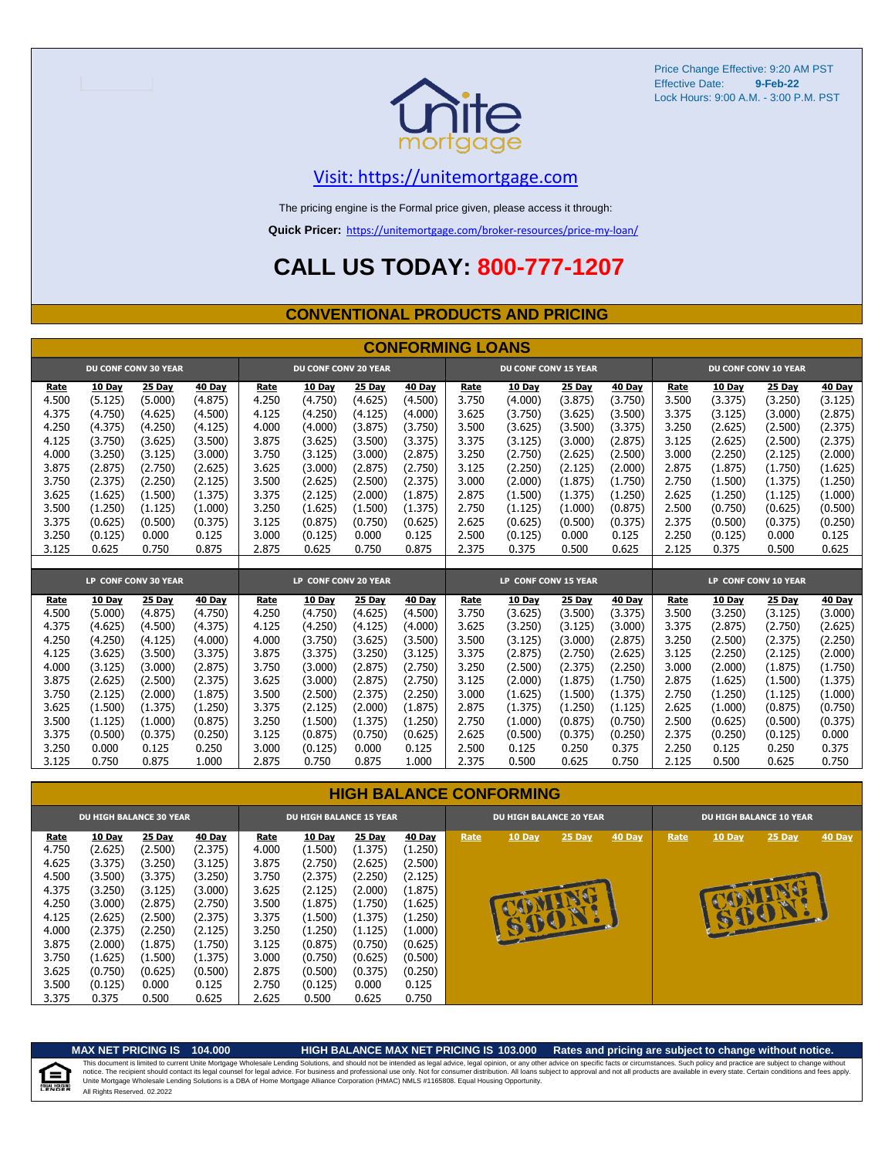

### [V](https://unitemortgage.com/)isit: https://unitemortgage.com

The pricing engine is the Formal price given, please access it through:

**Quick Pricer:** [https://un](https://unitemortgage.com/broker-resources/price-my-loan/)itemortgage.com/broker-resources/price-my-loan/

## **CALL US TODAY: 800-777-1207**

#### **CONVENTIONAL PRODUCTS AND PRICING**

|       | <b>CONFORMING LOANS</b> |                             |         |                      |                             |         |         |                      |                             |         |         |       |                      |         |               |  |
|-------|-------------------------|-----------------------------|---------|----------------------|-----------------------------|---------|---------|----------------------|-----------------------------|---------|---------|-------|----------------------|---------|---------------|--|
|       |                         | <b>DU CONF CONV 30 YEAR</b> |         |                      | <b>DU CONF CONV 20 YEAR</b> |         |         |                      | <b>DU CONF CONV 15 YEAR</b> |         |         |       | DU CONF CONV 10 YEAR |         |               |  |
| Rate  | 10 Day                  | 25 Day                      | 40 Day  | Rate                 | 10 Day                      | 25 Day  | 40 Day  | Rate                 | 10 Day                      | 25 Day  | 40 Day  | Rate  | 10 Day               | 25 Day  | <b>40 Day</b> |  |
| 4.500 | (5.125)                 | (5.000)                     | (4.875) | 4.250                | (4.750)                     | (4.625) | (4.500) | 3.750                | (4.000)                     | (3.875) | (3.750) | 3.500 | (3.375)              | (3.250) | (3.125)       |  |
| 4.375 | (4.750)                 | (4.625)                     | (4.500) | 4.125                | (4.250)                     | (4.125) | (4.000) | 3.625                | (3.750)                     | (3.625) | (3.500) | 3.375 | (3.125)              | (3.000) | (2.875)       |  |
| 4.250 | (4.375)                 | (4.250)                     | (4.125) | 4.000                | (4.000)                     | (3.875) | (3.750) | 3.500                | (3.625)                     | (3.500) | (3.375) | 3.250 | (2.625)              | (2.500) | (2.375)       |  |
| 4.125 | (3.750)                 | (3.625)                     | (3.500) | 3.875                | (3.625)                     | (3.500) | (3.375) | 3.375                | (3.125)                     | (3.000) | (2.875) | 3.125 | (2.625)              | (2.500) | (2.375)       |  |
| 4.000 | (3.250)                 | (3.125)                     | (3,000) | 3.750                | (3.125)                     | (3.000) | (2.875) | 3.250                | (2.750)                     | (2.625) | (2.500) | 3.000 | (2.250)              | (2.125) | (2.000)       |  |
| 3.875 | (2.875)                 | (2.750)                     | (2.625) | 3.625                | (3.000)                     | (2.875) | (2.750) | 3.125                | (2.250)                     | (2.125) | (2.000) | 2.875 | (1.875)              | (1.750) | (1.625)       |  |
| 3.750 | (2.375)                 | (2.250)                     | (2.125) | 3.500                | (2.625)                     | (2.500) | (2.375) | 3.000                | (2.000)                     | (1.875) | (1.750) | 2.750 | (1.500)              | (1.375) | (1.250)       |  |
| 3.625 | (1.625)                 | (1.500)                     | (1.375) | 3.375                | (2.125)                     | (2.000) | (1.875) | 2.875                | (1.500)                     | (1.375) | (1.250) | 2.625 | (1.250)              | (1.125) | (1.000)       |  |
| 3.500 | (1.250)                 | (1.125)                     | (1.000) | 3.250                | (1.625)                     | (1.500) | (1.375) | 2.750                | (1.125)                     | (1.000) | (0.875) | 2.500 | (0.750)              | (0.625) | (0.500)       |  |
| 3.375 | (0.625)                 | (0.500)                     | (0.375) | 3.125                | (0.875)                     | (0.750) | (0.625) | 2.625                | (0.625)                     | (0.500) | (0.375) | 2.375 | (0.500)              | (0.375) | (0.250)       |  |
| 3.250 | (0.125)                 | 0.000                       | 0.125   | 3.000                | (0.125)                     | 0.000   | 0.125   | 2.500                | (0.125)                     | 0.000   | 0.125   | 2.250 | (0.125)              | 0.000   | 0.125         |  |
| 3.125 | 0.625                   | 0.750                       | 0.875   | 2.875                | 0.625                       | 0.750   | 0.875   | 2.375                | 0.375                       | 0.500   | 0.625   | 2.125 | 0.375                | 0.500   | 0.625         |  |
|       |                         |                             |         |                      |                             |         |         |                      |                             |         |         |       |                      |         |               |  |
|       |                         | LP CONF CONV 30 YEAR        |         | LP CONF CONV 20 YEAR |                             |         |         | LP CONF CONV 15 YEAR |                             |         |         |       | LP CONF CONV 10 YEAR |         |               |  |
| Rate  | 10 Dav                  | 25 Day                      | 40 Day  | Rate                 | 10 Dav                      | 25 Dav  | 40 Day  | Rate                 | 10 Dav                      | 25 Day  | 40 Day  | Rate  | 10 Dav               | 25 Day  | 40 Day        |  |
| 4.500 | (5.000)                 | (4.875)                     | (4.750) | 4.250                | (4.750)                     | (4.625) | (4.500) | 3.750                | (3.625)                     | (3.500) | (3.375) | 3.500 | (3.250)              | (3.125) | (3.000)       |  |
| 4.375 | (4.625)                 | (4.500)                     | (4.375) | 4.125                | (4.250)                     | (4.125) | (4.000) | 3.625                | (3.250)                     | (3.125) | (3.000) | 3.375 | (2.875)              | (2.750) | (2.625)       |  |
| 4.250 | (4.250)                 | (4.125)                     | (4.000) | 4.000                | (3.750)                     | (3.625) | (3.500) | 3.500                | (3.125)                     | (3.000) | (2.875) | 3.250 | (2.500)              | (2.375) | (2.250)       |  |
| 4.125 | (3.625)                 | (3.500)                     | (3.375) | 3.875                | (3.375)                     | (3.250) | (3.125) | 3.375                | (2.875)                     | (2.750) | (2.625) | 3.125 | (2.250)              | (2.125) | (2.000)       |  |
| 4.000 | (3.125)                 | (3.000)                     | (2.875) | 3.750                | (3.000)                     | (2.875) | (2.750) | 3.250                | (2.500)                     | (2.375) | (2.250) | 3.000 | (2.000)              | (1.875) | (1.750)       |  |
| 3.875 | (2.625)                 | (2.500)                     | (2.375) | 3.625                | (3.000)                     | (2.875) | (2.750) | 3.125                | (2.000)                     | (1.875) | (1.750) | 2.875 | (1.625)              | (1.500) | (1.375)       |  |
| 3.750 | (2.125)                 | (2.000)                     | (1.875) | 3.500                | (2.500)                     | (2.375) | (2.250) | 3.000                | (1.625)                     | (1.500) | (1.375) | 2.750 | (1.250)              | (1.125) | (1.000)       |  |
| 3.625 | (1.500)                 | (1.375)                     | (1.250) | 3.375                | (2.125)                     | (2.000) | (1.875) | 2.875                | (1.375)                     | (1.250) | (1.125) | 2.625 | (1.000)              | (0.875) | (0.750)       |  |
| 3.500 | (1.125)                 | (1.000)                     | (0.875) | 3.250                | (1.500)                     | (1.375) | (1.250) | 2.750                | (1.000)                     | (0.875) | (0.750) | 2.500 | (0.625)              | (0.500) | (0.375)       |  |
| 3.375 | (0.500)                 | (0.375)                     | (0.250) | 3.125                | (0.875)                     | (0.750) | (0.625) | 2.625                | (0.500)                     | (0.375) | (0.250) | 2.375 | (0.250)              | (0.125) | 0.000         |  |
| 3.250 | 0.000                   | 0.125                       | 0.250   | 3.000                | (0.125)                     | 0.000   | 0.125   | 2.500                | 0.125                       | 0.250   | 0.375   | 2.250 | 0.125                | 0.250   | 0.375         |  |
| 3.125 | 0.750                   | 0.875                       | 1.000   | 2.875                | 0.750                       | 0.875   | 1.000   | 2.375                | 0.500                       | 0.625   | 0.750   | 2.125 | 0.500                | 0.625   | 0.750         |  |

#### **HIGH BALANCE CONFORMING**

|       |         | <b>DU HIGH BALANCE 30 YEAR</b> |         |       | <b>DU HIGH BALANCE 15 YEAR</b> |         |         |      | <b>DU HIGH BALANCE 20 YEAR</b> |               |               |      |               | <b>DU HIGH BALANCE 10 YEAR</b> |               |
|-------|---------|--------------------------------|---------|-------|--------------------------------|---------|---------|------|--------------------------------|---------------|---------------|------|---------------|--------------------------------|---------------|
| Rate  | 10 Day  | 25 Day                         | 40 Day  | Rate  | <b>10 Day</b>                  | 25 Day  | 40 Day  | Rate | <b>10 Day</b>                  | <b>25 Day</b> | <b>40 Day</b> | Rate | <b>10 Day</b> | $25$ Day                       | <b>40 Day</b> |
| 4.750 | (2.625) | (2.500)                        | (2.375) | 4.000 | (1.500)                        | (1.375) | (1.250) |      |                                |               |               |      |               |                                |               |
| 4.625 | (3.375) | (3.250)                        | (3.125) | 3.875 | (2.750)                        | (2.625) | (2.500) |      |                                |               |               |      |               |                                |               |
| 4.500 | (3.500) | (3.375)                        | (3.250) | 3.750 | (2.375)                        | (2.250) | (2.125) |      |                                |               |               |      |               |                                |               |
| 4.375 | (3.250) | (3.125)                        | (3.000) | 3.625 | (2.125)                        | (2.000) | (1.875) |      |                                |               |               |      |               |                                |               |
| 4.250 | (3.000) | (2.875)                        | (2.750) | 3.500 | (1.875)                        | (1.750) | (1.625) |      |                                |               |               |      |               |                                |               |
| 4.125 | (2.625) | (2.500)                        | (2.375) | 3.375 | (1.500)                        | (1.375) | (1.250) |      |                                |               |               |      | B             | E                              |               |
| 4.000 | (2.375) | (2.250)                        | (2.125) | 3.250 | (1.250)                        | (1.125) | (1.000) |      | <b>SUCH</b>                    |               |               |      |               |                                |               |
| 3.875 | (2.000) | (1.875)                        | (1.750) | 3.125 | (0.875)                        | (0.750) | (0.625) |      |                                |               |               |      |               |                                |               |
| 3.750 | (1.625) | (1.500)                        | (1.375) | 3.000 | (0.750)                        | (0.625) | (0.500) |      |                                |               |               |      |               |                                |               |
| 3.625 | (0.750) | (0.625)                        | (0.500) | 2.875 | (0.500)                        | (0.375) | (0.250) |      |                                |               |               |      |               |                                |               |
| 3.500 | (0.125) | 0.000                          | 0.125   | 2.750 | (0.125)                        | 0.000   | 0.125   |      |                                |               |               |      |               |                                |               |
| 3.375 | 0.375   | 0.500                          | 0.625   | 2.625 | 0.500                          | 0.625   | 0.750   |      |                                |               |               |      |               |                                |               |

自

**MAX NET PRICING IS 104.000 HIGH BALANCE MAX NET PRICING IS 103.000 Rates and pricing are subject to change without notice.** All Rights Reserved. 02.2022 This document is limited to current Unite Mortgage Wholesale Lending Solutions, and should not be intended as legal advice, legal opinion, or any other advice on specific facts or circumstances. Such policy and practice ar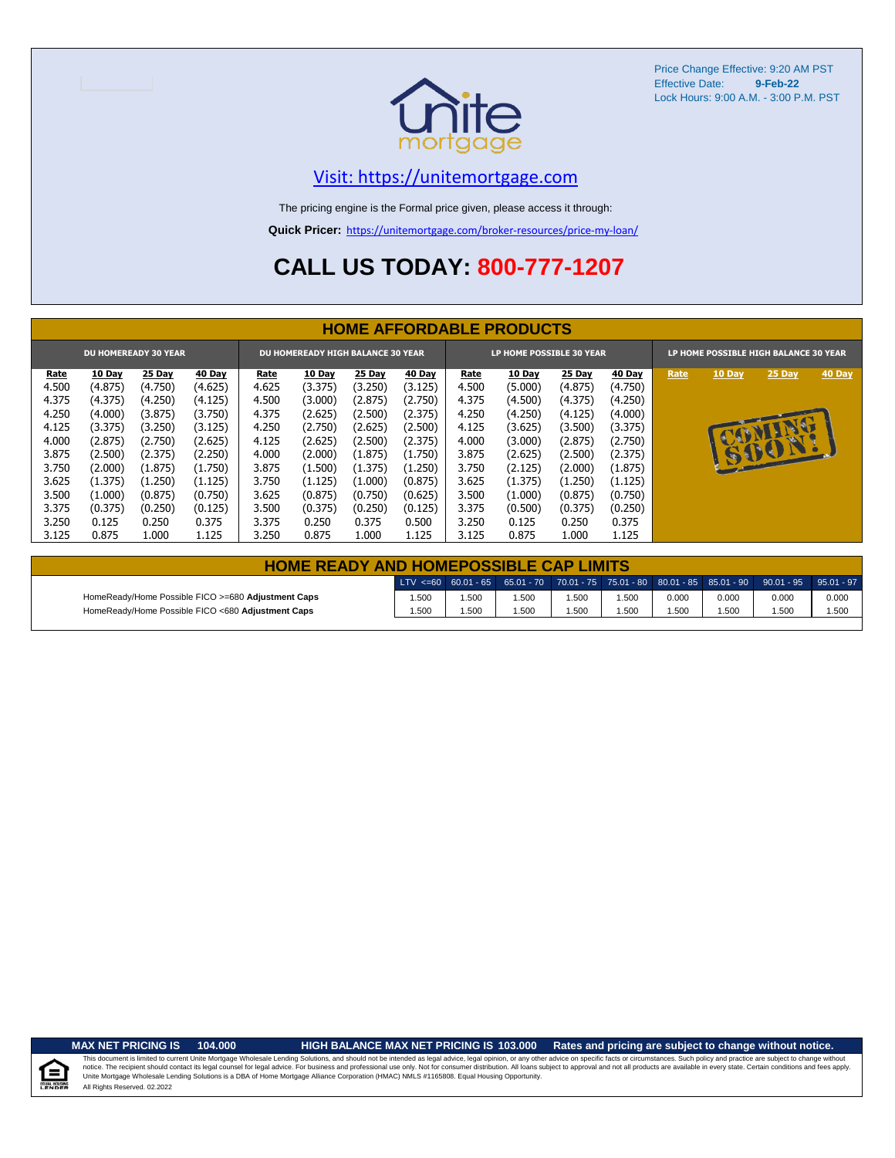

### [V](https://unitemortgage.com/)isit: https://unitemortgage.com

The pricing engine is the Formal price given, please access it through:

**Quick Pricer:** [https://un](https://unitemortgage.com/broker-resources/price-my-loan/)itemortgage.com/broker-resources/price-my-loan/

# **CALL US TODAY: 800-777-1207**

|                                                                         | <b>HOME AFFORDABLE PRODUCTS</b>                                       |                                                                       |                                                                       |                                                             |                                                                       |                                                                       |                                                                       |                                                             |                                                                       |                                                                       |                                                                       |      |                               |                |        |
|-------------------------------------------------------------------------|-----------------------------------------------------------------------|-----------------------------------------------------------------------|-----------------------------------------------------------------------|-------------------------------------------------------------|-----------------------------------------------------------------------|-----------------------------------------------------------------------|-----------------------------------------------------------------------|-------------------------------------------------------------|-----------------------------------------------------------------------|-----------------------------------------------------------------------|-----------------------------------------------------------------------|------|-------------------------------|----------------|--------|
| <b>DU HOMEREADY 30 YEAR</b><br><b>DU HOMEREADY HIGH BALANCE 30 YEAR</b> |                                                                       |                                                                       |                                                                       |                                                             |                                                                       |                                                                       | <b>LP HOME POSSIBLE 30 YEAR</b>                                       |                                                             |                                                                       | LP HOME POSSIBLE HIGH BALANCE 30 YEAR                                 |                                                                       |      |                               |                |        |
| Rate<br>4.500<br>4.375<br>4.250<br>4.125<br>4.000                       | <b>10 Day</b><br>(4.875)<br>(4.375)<br>(4.000)<br>(3.375)<br>(2.875)  | 25 Day<br>(4.750)<br>(4.250)<br>(3.875)<br>(3.250)<br>(2.750)         | 40 Day<br>(4.625)<br>(4.125)<br>(3.750)<br>(3.125)<br>(2.625)         | Rate<br>4.625<br>4.500<br>4.375<br>4.250<br>4.125           | <b>10 Day</b><br>(3.375)<br>(3.000)<br>(2.625)<br>(2.750)<br>(2.625)  | 25 Day<br>(3.250)<br>(2.875)<br>(2.500)<br>(2.625)<br>(2.500)         | <b>40 Day</b><br>(3.125)<br>(2.750)<br>(2.375)<br>(2.500)<br>(2.375)  | Rate<br>4.500<br>4.375<br>4.250<br>4.125<br>4.000           | 10 Day<br>(5.000)<br>(4.500)<br>(4.250)<br>(3.625)<br>(3.000)         | <b>25 Day</b><br>(4.875)<br>(4.375)<br>(4.125)<br>(3.500)<br>(2.875)  | <b>40 Day</b><br>(4.750)<br>(4.250)<br>(4.000)<br>(3.375)<br>(2.750)  | Rate | <b>10 Day</b><br>$\mathbf{A}$ | $25$ Day<br>NU | 40 Day |
| 3.875<br>3.750<br>3.625<br>3.500<br>3.375<br>3.250<br>3.125             | (2.500)<br>(2.000)<br>(1.375)<br>(1.000)<br>(0.375)<br>0.125<br>0.875 | (2.375)<br>(1.875)<br>(1.250)<br>(0.875)<br>(0.250)<br>0.250<br>1.000 | (2.250)<br>(1.750)<br>(1.125)<br>(0.750)<br>(0.125)<br>0.375<br>1.125 | 4.000<br>3.875<br>3.750<br>3.625<br>3.500<br>3.375<br>3.250 | (2.000)<br>(1.500)<br>(1.125)<br>(0.875)<br>(0.375)<br>0.250<br>0.875 | (1.875)<br>(1.375)<br>(1.000)<br>(0.750)<br>(0.250)<br>0.375<br>1.000 | (1.750)<br>(1.250)<br>(0.875)<br>(0.625)<br>(0.125)<br>0.500<br>1.125 | 3.875<br>3.750<br>3.625<br>3.500<br>3.375<br>3.250<br>3.125 | (2.625)<br>(2.125)<br>(1.375)<br>(1.000)<br>(0.500)<br>0.125<br>0.875 | (2.500)<br>(2.000)<br>(1.250)<br>(0.875)<br>(0.375)<br>0.250<br>1.000 | (2.375)<br>(1.875)<br>(1.125)<br>(0.750)<br>(0.250)<br>0.375<br>1.125 |      |                               | 15001.         |        |

|                                                    | <b>HOME READY AND HOMEPOSSIBLE CAP LIMITS</b> |      |       |       |      |       |       |                                                                                                  |       |  |  |  |  |  |
|----------------------------------------------------|-----------------------------------------------|------|-------|-------|------|-------|-------|--------------------------------------------------------------------------------------------------|-------|--|--|--|--|--|
|                                                    |                                               |      |       |       |      |       |       | LTV <=60 60.01 - 65 65.01 - 70 70.01 - 75 75.01 - 80 80.01 - 85 85.01 - 90 90.01 - 95 95.01 - 97 |       |  |  |  |  |  |
| HomeReady/Home Possible FICO >=680 Adjustment Caps | 1.500                                         | .500 | 1.500 | 500،، | .500 | 0.000 | 0.000 | 0.000                                                                                            | 0.000 |  |  |  |  |  |
| HomeReady/Home Possible FICO <680 Adjustment Caps  | 1.500                                         | .500 | .500  | 500،، | .500 | .500  | 1.500 | 1.500                                                                                            | 1.500 |  |  |  |  |  |

**MAX NET PRICING IS 104.000 HIGH BALANCE MAX NET PRICING IS 103.000 Rates and pricing are subject to change without notice.**

All Rights Reserved. 02.2022 This document is limited to current Unite Mortgage Wholesale Lending Solutions, and should not be intended as legal advice, legal opinion, or any other advice on specific facts or circumstances. Such policy and practice ar

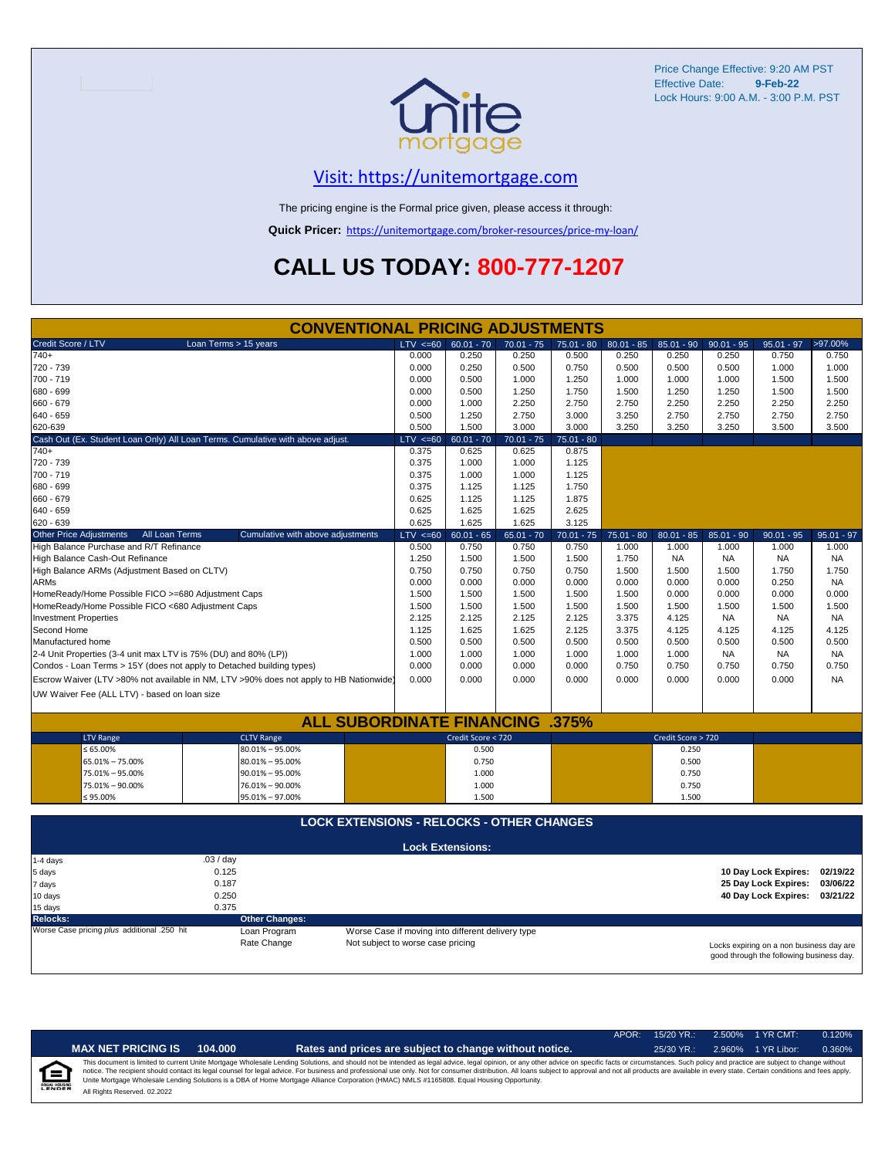

### [V](https://unitemortgage.com/)isit: https://unitemortgage.com

The pricing engine is the Formal price given, please access it through:

**Quick Pricer:** [https://un](https://unitemortgage.com/broker-resources/price-my-loan/)itemortgage.com/broker-resources/price-my-loan/

# **CALL US TODAY: 800-777-1207**

| <b>CONVENTIONAL PRICING ADJUSTMENTS</b>                                                |                                   |                                                   |              |              |              |                    |              |                                          |              |  |  |
|----------------------------------------------------------------------------------------|-----------------------------------|---------------------------------------------------|--------------|--------------|--------------|--------------------|--------------|------------------------------------------|--------------|--|--|
| Credit Score / LTV<br>Loan Terms > 15 years                                            | LTV < 60                          | $60.01 - 70$                                      | $70.01 - 75$ | $75.01 - 80$ | $80.01 - 85$ | $85.01 - 90$       | $90.01 - 95$ | $95.01 - 97$                             | >97.00%      |  |  |
| $740+$                                                                                 | 0.000                             | 0.250                                             | 0.250        | 0.500        | 0.250        | 0.250              | 0.250        | 0.750                                    | 0.750        |  |  |
| 720 - 739                                                                              | 0.000                             | 0.250                                             | 0.500        | 0.750        | 0.500        | 0.500              | 0.500        | 1.000                                    | 1.000        |  |  |
| 700 - 719                                                                              | 0.000                             | 0.500                                             | 1.000        | 1.250        | 1.000        | 1.000              | 1.000        | 1.500                                    | 1.500        |  |  |
| 680 - 699                                                                              | 0.000                             | 0.500                                             | 1.250        | 1.750        | 1.500        | 1.250              | 1.250        | 1.500                                    | 1.500        |  |  |
| 660 - 679                                                                              | 0.000                             | 1.000                                             | 2.250        | 2.750        | 2.750        | 2.250              | 2.250        | 2.250                                    | 2.250        |  |  |
| 640 - 659                                                                              | 0.500                             | 1.250                                             | 2.750        | 3.000        | 3.250        | 2.750              | 2.750        | 2.750                                    | 2.750        |  |  |
| 620-639                                                                                | 0.500                             | 1.500                                             | 3.000        | 3.000        | 3.250        | 3.250              | 3.250        | 3.500                                    | 3.500        |  |  |
| Cash Out (Ex. Student Loan Only) All Loan Terms. Cumulative with above adjust.         | $LTV \le 60$                      | $60.01 - 70$                                      | $70.01 - 75$ | $75.01 - 80$ |              |                    |              |                                          |              |  |  |
| $740+$                                                                                 | 0.375                             | 0.625                                             | 0.625        | 0.875        |              |                    |              |                                          |              |  |  |
| 720 - 739                                                                              | 0.375                             | 1.000                                             | 1.000        | 1.125        |              |                    |              |                                          |              |  |  |
| 700 - 719                                                                              | 0.375                             | 1.000                                             | 1.000        | 1.125        |              |                    |              |                                          |              |  |  |
| 680 - 699                                                                              | 0.375                             | 1.125                                             | 1.125        | 1.750        |              |                    |              |                                          |              |  |  |
| 660 - 679                                                                              | 0.625                             | 1.125                                             | 1.125        | 1.875        |              |                    |              |                                          |              |  |  |
| 640 - 659                                                                              | 0.625                             | 1.625                                             | 1.625        | 2.625        |              |                    |              |                                          |              |  |  |
| 620 - 639                                                                              | 0.625                             | 1.625                                             | 1.625        | 3.125        |              |                    |              |                                          |              |  |  |
| <b>Other Price Adjustments</b><br>All Loan Terms<br>Cumulative with above adjustments  | $LTV \le 60$                      | $60.01 - 65$                                      | $65.01 - 70$ | $70.01 - 75$ | $75.01 - 80$ | $80.01 - 85$       | $85.01 - 90$ | $90.01 - 95$                             | $95.01 - 97$ |  |  |
| High Balance Purchase and R/T Refinance                                                | 0.500                             | 0.750                                             | 0.750        | 0.750        | 1.000        | 1.000              | 1.000        | 1.000                                    | 1.000        |  |  |
| High Balance Cash-Out Refinance                                                        | 1.250                             | 1.500                                             | 1.500        | 1.500        | 1.750        | <b>NA</b>          | <b>NA</b>    | <b>NA</b>                                | <b>NA</b>    |  |  |
| High Balance ARMs (Adjustment Based on CLTV)                                           | 0.750                             | 0.750                                             | 0.750        | 0.750        | 1.500        | 1.500              | 1.500        | 1.750                                    | 1.750        |  |  |
| <b>ARMs</b>                                                                            | 0.000                             | 0.000                                             | 0.000        | 0.000        | 0.000        | 0.000              | 0.000        | 0.250                                    | <b>NA</b>    |  |  |
| HomeReady/Home Possible FICO >=680 Adjustment Caps                                     | 1.500                             | 1.500                                             | 1.500        | 1.500        | 1.500        | 0.000              | 0.000        | 0.000                                    | 0.000        |  |  |
| HomeReady/Home Possible FICO <680 Adjustment Caps                                      | 1.500                             | 1.500                                             | 1.500        | 1.500        | 1.500        | 1.500              | 1.500        | 1.500                                    | 1.500        |  |  |
| <b>Investment Properties</b>                                                           | 2.125                             | 2.125                                             | 2.125        | 2.125        | 3.375        | 4.125              | <b>NA</b>    | <b>NA</b>                                | <b>NA</b>    |  |  |
| Second Home                                                                            | 1.125                             | 1.625                                             | 1.625        | 2.125        | 3.375        | 4.125              | 4.125        | 4.125                                    | 4.125        |  |  |
| Manufactured home                                                                      | 0.500                             | 0.500                                             | 0.500        | 0.500        | 0.500        | 0.500              | 0.500        | 0.500                                    | 0.500        |  |  |
| 2-4 Unit Properties (3-4 unit max LTV is 75% (DU) and 80% (LP))                        | 1.000                             | 1.000                                             | 1.000        | 1.000        | 1.000        | 1.000              | <b>NA</b>    | <b>NA</b>                                | <b>NA</b>    |  |  |
| Condos - Loan Terms > 15Y (does not apply to Detached building types)                  | 0.000                             | 0.000                                             | 0.000        | 0.000        | 0.750        | 0.750              | 0.750        | 0.750                                    | 0.750        |  |  |
| Escrow Waiver (LTV >80% not available in NM, LTV >90% does not apply to HB Nationwide) | 0.000                             | 0.000                                             | 0.000        | 0.000        | 0.000        | 0.000              | 0.000        | 0.000                                    | <b>NA</b>    |  |  |
| UW Waiver Fee (ALL LTV) - based on loan size                                           |                                   |                                                   |              |              |              |                    |              |                                          |              |  |  |
|                                                                                        |                                   |                                                   |              |              |              |                    |              |                                          |              |  |  |
| <b>ALL SUBORDINATE FINANCING .375%</b>                                                 |                                   |                                                   |              |              |              |                    |              |                                          |              |  |  |
| <b>CLTV Range</b>                                                                      |                                   | Credit Score < 720                                |              |              |              | Credit Score > 720 |              |                                          |              |  |  |
| <b>LTV Range</b><br>$\leq 65.00\%$<br>$80.01\% - 95.00\%$                              |                                   | 0.500                                             |              |              |              | 0.250              |              |                                          |              |  |  |
| 65.01% - 75.00%<br>$80.01\% - 95.00\%$                                                 |                                   | 0.750                                             |              |              |              | 0.500              |              |                                          |              |  |  |
| 75.01% - 95.00%<br>$90.01\% - 95.00\%$                                                 |                                   | 1.000                                             |              |              |              | 0.750              |              |                                          |              |  |  |
| 75.01% - 90.00%<br>76.01% - 90.00%                                                     |                                   | 1.000                                             |              |              | 0.750        |                    |              |                                          |              |  |  |
| $\leq 95.00\%$<br>95.01% - 97.00%                                                      |                                   | 1.500                                             |              |              | 1.500        |                    |              |                                          |              |  |  |
|                                                                                        |                                   |                                                   |              |              |              |                    |              |                                          |              |  |  |
| <b>LOCK EXTENSIONS - RELOCKS - OTHER CHANGES</b>                                       |                                   |                                                   |              |              |              |                    |              |                                          |              |  |  |
|                                                                                        |                                   |                                                   |              |              |              |                    |              |                                          |              |  |  |
|                                                                                        |                                   | <b>Lock Extensions:</b>                           |              |              |              |                    |              |                                          |              |  |  |
|                                                                                        |                                   |                                                   |              |              |              |                    |              |                                          |              |  |  |
| .03 / day<br>1-4 days                                                                  |                                   |                                                   |              |              |              |                    |              |                                          | 02/19/22     |  |  |
| 0.125<br>5 days                                                                        |                                   |                                                   |              |              |              |                    |              | 10 Day Lock Expires:                     |              |  |  |
| 0.187<br>7 days                                                                        |                                   |                                                   |              |              |              |                    |              | 25 Day Lock Expires:                     | 03/06/22     |  |  |
| 0.250<br>10 days                                                                       |                                   |                                                   |              |              |              |                    |              | 40 Day Lock Expires:                     | 03/21/22     |  |  |
| 0.375<br>15 days                                                                       |                                   |                                                   |              |              |              |                    |              |                                          |              |  |  |
| <b>Other Changes:</b><br><b>Relocks:</b>                                               |                                   |                                                   |              |              |              |                    |              |                                          |              |  |  |
| Worse Case pricing plus additional .250 hit<br>Loan Program                            |                                   | Worse Case if moving into different delivery type |              |              |              |                    |              |                                          |              |  |  |
| Rate Change                                                                            | Not subject to worse case pricing |                                                   |              |              |              |                    |              | Locks expiring on a non business day are |              |  |  |

Locks expiring on a non business day are good through the following business day.

|   |                              |         |                                                                                                                                                                                                                                                                                                                                                                                                                                                                                                                                                                                                                | $APOR+$ | $15/20$ YR.: | 2.500% 1 YR CMT:   | 0.120% |
|---|------------------------------|---------|----------------------------------------------------------------------------------------------------------------------------------------------------------------------------------------------------------------------------------------------------------------------------------------------------------------------------------------------------------------------------------------------------------------------------------------------------------------------------------------------------------------------------------------------------------------------------------------------------------------|---------|--------------|--------------------|--------|
|   | <b>MAX NET PRICING IS</b>    | 104.000 | Rates and prices are subject to change without notice.                                                                                                                                                                                                                                                                                                                                                                                                                                                                                                                                                         |         | $25/30$ YR.: | 2.960% 1 YR Libor: | 0.360% |
| E | All Rights Reserved, 02.2022 |         | This document is limited to current Unite Mortgage Wholesale Lending Solutions, and should not be intended as legal advice, legal opinion, or any other advice on specific facts or circumstances. Such policy and practice ar<br>notice. The recipient should contact its legal counsel for legal advice. For business and professional use only. Not for consumer distribution. All loans subject to approval and not all products are available in every stat<br>Unite Mortgage Wholesale Lending Solutions is a DBA of Home Mortgage Alliance Corporation (HMAC) NMLS #1165808. Equal Housing Opportunity. |         |              |                    |        |